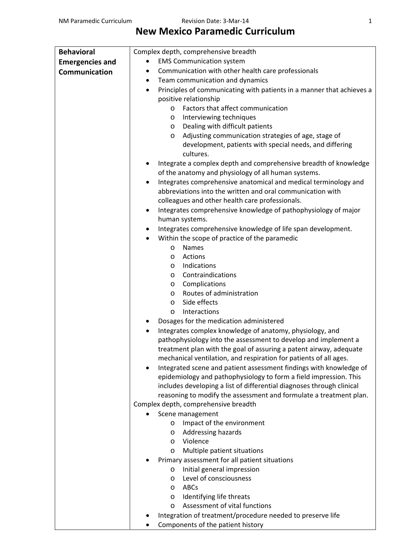## **New Mexico Paramedic Curriculum**

| <b>Behavioral</b>      | Complex depth, comprehensive breadth                                               |
|------------------------|------------------------------------------------------------------------------------|
| <b>Emergencies and</b> | <b>EMS Communication system</b>                                                    |
| Communication          | Communication with other health care professionals<br>٠                            |
|                        | Team communication and dynamics<br>$\bullet$                                       |
|                        | Principles of communicating with patients in a manner that achieves a<br>$\bullet$ |
|                        | positive relationship                                                              |
|                        | Factors that affect communication<br>$\circ$                                       |
|                        | Interviewing techniques<br>$\circ$                                                 |
|                        | Dealing with difficult patients<br>$\circ$                                         |
|                        | Adjusting communication strategies of age, stage of<br>$\circ$                     |
|                        | development, patients with special needs, and differing                            |
|                        | cultures.                                                                          |
|                        | Integrate a complex depth and comprehensive breadth of knowledge                   |
|                        | of the anatomy and physiology of all human systems.                                |
|                        | Integrates comprehensive anatomical and medical terminology and<br>$\bullet$       |
|                        | abbreviations into the written and oral communication with                         |
|                        | colleagues and other health care professionals.                                    |
|                        | Integrates comprehensive knowledge of pathophysiology of major<br>٠                |
|                        | human systems.                                                                     |
|                        | Integrates comprehensive knowledge of life span development.                       |
|                        | Within the scope of practice of the paramedic                                      |
|                        | <b>Names</b><br>O                                                                  |
|                        | Actions<br>$\circ$                                                                 |
|                        | Indications<br>$\circ$                                                             |
|                        | Contraindications<br>$\circ$                                                       |
|                        | Complications<br>$\circ$                                                           |
|                        | Routes of administration<br>$\circ$                                                |
|                        | Side effects<br>$\circ$                                                            |
|                        | Interactions<br>$\circ$                                                            |
|                        | Dosages for the medication administered                                            |
|                        | Integrates complex knowledge of anatomy, physiology, and<br>٠                      |
|                        | pathophysiology into the assessment to develop and implement a                     |
|                        | treatment plan with the goal of assuring a patent airway, adequate                 |
|                        | mechanical ventilation, and respiration for patients of all ages.                  |
|                        | Integrated scene and patient assessment findings with knowledge of                 |
|                        | epidemiology and pathophysiology to form a field impression. This                  |
|                        | includes developing a list of differential diagnoses through clinical              |
|                        | reasoning to modify the assessment and formulate a treatment plan.                 |
|                        | Complex depth, comprehensive breadth                                               |
|                        | Scene management                                                                   |
|                        | Impact of the environment<br>$\circ$                                               |
|                        | Addressing hazards<br>$\circ$                                                      |
|                        | Violence<br>$\circ$                                                                |
|                        | Multiple patient situations<br>O                                                   |
|                        | Primary assessment for all patient situations                                      |
|                        | Initial general impression<br>$\circ$                                              |
|                        | Level of consciousness<br>$\circ$                                                  |
|                        | ABCs<br>O                                                                          |
|                        | Identifying life threats<br>O<br>Assessment of vital functions                     |
|                        | $\circ$                                                                            |
|                        | Integration of treatment/procedure needed to preserve life                         |

Components of the patient history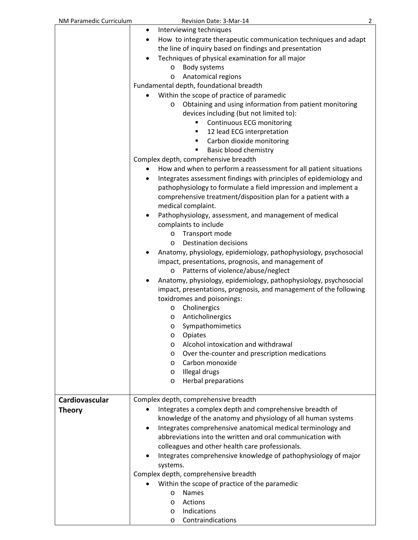| NM Paramedic Curriculum | Revision Date: 3-Mar-14                                                                                                                            | 2 |
|-------------------------|----------------------------------------------------------------------------------------------------------------------------------------------------|---|
|                         | Interviewing techniques<br>٠                                                                                                                       |   |
|                         | How to integrate therapeutic communication techniques and adapt<br>٠<br>the line of inquiry based on findings and presentation                     |   |
|                         |                                                                                                                                                    |   |
|                         | Techniques of physical examination for all major                                                                                                   |   |
|                         | Body systems<br>$\circ$                                                                                                                            |   |
|                         | Anatomical regions<br>$\circ$                                                                                                                      |   |
|                         | Fundamental depth, foundational breadth                                                                                                            |   |
|                         | Within the scope of practice of paramedic                                                                                                          |   |
|                         | Obtaining and using information from patient monitoring<br>$\circ$<br>devices including (but not limited to):                                      |   |
|                         | Continuous ECG monitoring<br>٠                                                                                                                     |   |
|                         | 12 lead ECG interpretation<br>٠                                                                                                                    |   |
|                         | Carbon dioxide monitoring<br>٠                                                                                                                     |   |
|                         | Basic blood chemistry<br>п                                                                                                                         |   |
|                         | Complex depth, comprehensive breadth                                                                                                               |   |
|                         | How and when to perform a reassessment for all patient situations<br>٠                                                                             |   |
|                         | Integrates assessment findings with principles of epidemiology and<br>$\bullet$<br>pathophysiology to formulate a field impression and implement a |   |
|                         | comprehensive treatment/disposition plan for a patient with a                                                                                      |   |
|                         | medical complaint.                                                                                                                                 |   |
|                         | Pathophysiology, assessment, and management of medical                                                                                             |   |
|                         | complaints to include                                                                                                                              |   |
|                         | Transport mode<br>$\circ$                                                                                                                          |   |
|                         | Destination decisions<br>$\circ$                                                                                                                   |   |
|                         | Anatomy, physiology, epidemiology, pathophysiology, psychosocial                                                                                   |   |
|                         | impact, presentations, prognosis, and management of                                                                                                |   |
|                         | o Patterns of violence/abuse/neglect                                                                                                               |   |
|                         | Anatomy, physiology, epidemiology, pathophysiology, psychosocial<br>impact, presentations, prognosis, and management of the following              |   |
|                         | toxidromes and poisonings:                                                                                                                         |   |
|                         | Cholinergics<br>$\circ$                                                                                                                            |   |
|                         | Anticholinergics<br>O                                                                                                                              |   |
|                         | Sympathomimetics<br>O                                                                                                                              |   |
|                         | Opiates<br>O                                                                                                                                       |   |
|                         | Alcohol intoxication and withdrawal<br>$\circ$                                                                                                     |   |
|                         | Over the-counter and prescription medications<br>O                                                                                                 |   |
|                         | Carbon monoxide<br>$\circ$                                                                                                                         |   |
|                         | Illegal drugs<br>$\circ$                                                                                                                           |   |
|                         | Herbal preparations<br>$\circ$                                                                                                                     |   |
| Cardiovascular          | Complex depth, comprehensive breadth                                                                                                               |   |
|                         | Integrates a complex depth and comprehensive breadth of                                                                                            |   |
| <b>Theory</b>           | knowledge of the anatomy and physiology of all human systems                                                                                       |   |
|                         | Integrates comprehensive anatomical medical terminology and<br>$\bullet$                                                                           |   |
|                         | abbreviations into the written and oral communication with                                                                                         |   |
|                         | colleagues and other health care professionals.                                                                                                    |   |
|                         |                                                                                                                                                    |   |
|                         | Integrates comprehensive knowledge of pathophysiology of major                                                                                     |   |
|                         | systems.                                                                                                                                           |   |
|                         | Complex depth, comprehensive breadth                                                                                                               |   |
|                         | Within the scope of practice of the paramedic                                                                                                      |   |
|                         | <b>Names</b><br>O                                                                                                                                  |   |
|                         | Actions<br>O                                                                                                                                       |   |
|                         | Indications<br>$\circ$                                                                                                                             |   |
|                         | Contraindications<br>$\circ$                                                                                                                       |   |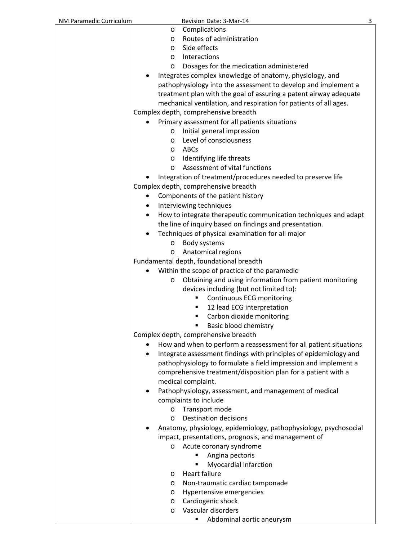| NM Paramedic Curriculum | Revision Date: 3-Mar-14                                                | 3 |
|-------------------------|------------------------------------------------------------------------|---|
|                         | Complications<br>$\circ$                                               |   |
|                         | Routes of administration<br>$\circ$                                    |   |
|                         | Side effects<br>$\circ$                                                |   |
|                         | Interactions<br>$\circ$                                                |   |
|                         | Dosages for the medication administered<br>$\circ$                     |   |
|                         | Integrates complex knowledge of anatomy, physiology, and               |   |
|                         | pathophysiology into the assessment to develop and implement a         |   |
|                         | treatment plan with the goal of assuring a patent airway adequate      |   |
|                         | mechanical ventilation, and respiration for patients of all ages.      |   |
|                         | Complex depth, comprehensive breadth                                   |   |
|                         | Primary assessment for all patients situations                         |   |
|                         | Initial general impression<br>$\circ$                                  |   |
|                         | Level of consciousness<br>$\circ$                                      |   |
|                         | ABCs<br>$\circ$                                                        |   |
|                         | Identifying life threats<br>$\circ$                                    |   |
|                         | Assessment of vital functions<br>$\circ$                               |   |
|                         | Integration of treatment/procedures needed to preserve life            |   |
|                         | Complex depth, comprehensive breadth                                   |   |
|                         |                                                                        |   |
|                         | Components of the patient history<br>٠                                 |   |
|                         | Interviewing techniques<br>٠                                           |   |
|                         | How to integrate therapeutic communication techniques and adapt        |   |
|                         | the line of inquiry based on findings and presentation.                |   |
|                         | Techniques of physical examination for all major                       |   |
|                         | Body systems<br>$\circ$                                                |   |
|                         | Anatomical regions<br>O                                                |   |
|                         | Fundamental depth, foundational breadth                                |   |
|                         | Within the scope of practice of the paramedic                          |   |
|                         | Obtaining and using information from patient monitoring<br>O           |   |
|                         | devices including (but not limited to):                                |   |
|                         | Continuous ECG monitoring                                              |   |
|                         | 12 lead ECG interpretation<br>٠                                        |   |
|                         | Carbon dioxide monitoring<br>٠                                         |   |
|                         | Basic blood chemistry                                                  |   |
|                         | Complex depth, comprehensive breadth                                   |   |
|                         | How and when to perform a reassessment for all patient situations<br>٠ |   |
|                         | Integrate assessment findings with principles of epidemiology and      |   |
|                         | pathophysiology to formulate a field impression and implement a        |   |
|                         | comprehensive treatment/disposition plan for a patient with a          |   |
|                         | medical complaint.                                                     |   |
|                         | Pathophysiology, assessment, and management of medical<br>٠            |   |
|                         | complaints to include                                                  |   |
|                         | Transport mode<br>$\circ$                                              |   |
|                         | <b>Destination decisions</b><br>$\circ$                                |   |
|                         | Anatomy, physiology, epidemiology, pathophysiology, psychosocial       |   |
|                         | impact, presentations, prognosis, and management of                    |   |
|                         | Acute coronary syndrome<br>O                                           |   |
|                         | Angina pectoris                                                        |   |
|                         | Myocardial infarction<br>٠                                             |   |
|                         | <b>Heart failure</b><br>O                                              |   |
|                         | Non-traumatic cardiac tamponade<br>O                                   |   |
|                         | Hypertensive emergencies<br>$\circ$                                    |   |
|                         | Cardiogenic shock<br>$\circ$                                           |   |
|                         | Vascular disorders<br>$\circ$                                          |   |
|                         | Abdominal aortic aneurysm                                              |   |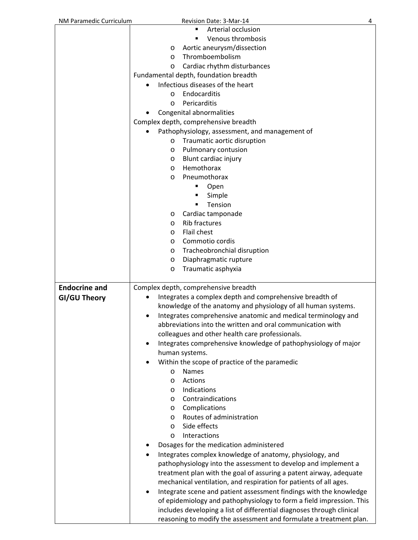| NM Paramedic Curriculum | Revision Date: 3-Mar-14<br>4                                                    |
|-------------------------|---------------------------------------------------------------------------------|
|                         | Arterial occlusion                                                              |
|                         | Venous thrombosis<br>٠                                                          |
|                         | Aortic aneurysm/dissection<br>$\circ$                                           |
|                         | Thromboembolism<br>$\circ$                                                      |
|                         | Cardiac rhythm disturbances<br>O                                                |
|                         | Fundamental depth, foundation breadth                                           |
|                         | Infectious diseases of the heart                                                |
|                         | Endocarditis<br>$\circ$                                                         |
|                         | Pericarditis<br>$\circ$                                                         |
|                         | Congenital abnormalities                                                        |
|                         | Complex depth, comprehensive breadth                                            |
|                         |                                                                                 |
|                         | Pathophysiology, assessment, and management of                                  |
|                         | Traumatic aortic disruption<br>$\circ$                                          |
|                         | Pulmonary contusion<br>O                                                        |
|                         | Blunt cardiac injury<br>O                                                       |
|                         | Hemothorax<br>$\circ$                                                           |
|                         | Pneumothorax<br>$\circ$                                                         |
|                         | Open<br>٠                                                                       |
|                         | Simple<br>п                                                                     |
|                         | Tension                                                                         |
|                         | Cardiac tamponade<br>O                                                          |
|                         | <b>Rib fractures</b><br>$\circ$                                                 |
|                         | Flail chest<br>$\circ$                                                          |
|                         | Commotio cordis<br>O                                                            |
|                         | Tracheobronchial disruption<br>O                                                |
|                         | Diaphragmatic rupture<br>O                                                      |
|                         | Traumatic asphyxia<br>O                                                         |
|                         |                                                                                 |
| <b>Endocrine and</b>    | Complex depth, comprehensive breadth                                            |
| GI/GU Theory            | Integrates a complex depth and comprehensive breadth of                         |
|                         | knowledge of the anatomy and physiology of all human systems.                   |
|                         | Integrates comprehensive anatomic and medical terminology and<br>$\bullet$      |
|                         | abbreviations into the written and oral communication with                      |
|                         | colleagues and other health care professionals.                                 |
|                         | Integrates comprehensive knowledge of pathophysiology of major                  |
|                         | human systems.                                                                  |
|                         | Within the scope of practice of the paramedic                                   |
|                         | Names<br>O                                                                      |
|                         | Actions<br>$\circ$                                                              |
|                         | Indications<br>$\circ$                                                          |
|                         | Contraindications<br>$\circ$                                                    |
|                         | Complications<br>$\circ$                                                        |
|                         | Routes of administration<br>$\circ$                                             |
|                         | Side effects<br>O                                                               |
|                         | Interactions<br>O                                                               |
|                         | Dosages for the medication administered                                         |
|                         |                                                                                 |
|                         | Integrates complex knowledge of anatomy, physiology, and                        |
|                         | pathophysiology into the assessment to develop and implement a                  |
|                         | treatment plan with the goal of assuring a patent airway, adequate              |
|                         | mechanical ventilation, and respiration for patients of all ages.               |
|                         | Integrate scene and patient assessment findings with the knowledge<br>$\bullet$ |
|                         | of epidemiology and pathophysiology to form a field impression. This            |
|                         | includes developing a list of differential diagnoses through clinical           |
|                         | reasoning to modify the assessment and formulate a treatment plan.              |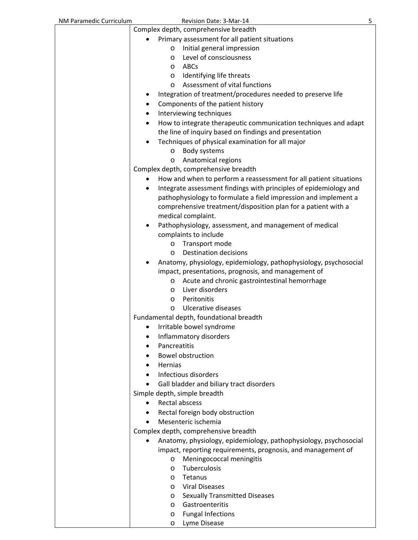| NM Paramedic Curriculum | 5<br>Revision Date: 3-Mar-14                                             |
|-------------------------|--------------------------------------------------------------------------|
|                         | Complex depth, comprehensive breadth                                     |
|                         | Primary assessment for all patient situations                            |
|                         | Initial general impression<br>$\circ$                                    |
|                         | Level of consciousness<br>$\circ$                                        |
|                         | ABCs<br>$\circ$                                                          |
|                         | Identifying life threats<br>O                                            |
|                         | Assessment of vital functions<br>$\circ$                                 |
|                         | Integration of treatment/procedures needed to preserve life              |
|                         | Components of the patient history                                        |
|                         | Interviewing techniques<br>٠                                             |
|                         | How to integrate therapeutic communication techniques and adapt<br>٠     |
|                         | the line of inquiry based on findings and presentation                   |
|                         | Techniques of physical examination for all major                         |
|                         | Body systems<br>$\circ$                                                  |
|                         | Anatomical regions<br>O                                                  |
|                         | Complex depth, comprehensive breadth                                     |
|                         | How and when to perform a reassessment for all patient situations        |
|                         | Integrate assessment findings with principles of epidemiology and<br>٠   |
|                         | pathophysiology to formulate a field impression and implement a          |
|                         | comprehensive treatment/disposition plan for a patient with a            |
|                         | medical complaint.                                                       |
|                         | Pathophysiology, assessment, and management of medical                   |
|                         | complaints to include                                                    |
|                         | Transport mode<br>O                                                      |
|                         | <b>Destination decisions</b><br>$\circ$                                  |
|                         | Anatomy, physiology, epidemiology, pathophysiology, psychosocial         |
|                         | impact, presentations, prognosis, and management of                      |
|                         | Acute and chronic gastrointestinal hemorrhage<br>O<br>Liver disorders    |
|                         | $\circ$<br>Peritonitis                                                   |
|                         | O<br><b>Ulcerative diseases</b><br>O                                     |
|                         | Fundamental depth, foundational breadth                                  |
|                         | Irritable bowel syndrome                                                 |
|                         | Inflammatory disorders                                                   |
|                         | Pancreatitis<br>٠                                                        |
|                         | <b>Bowel obstruction</b>                                                 |
|                         | Hernias                                                                  |
|                         | Infectious disorders                                                     |
|                         | Gall bladder and biliary tract disorders<br>٠                            |
|                         | Simple depth, simple breadth                                             |
|                         | Rectal abscess                                                           |
|                         | Rectal foreign body obstruction                                          |
|                         | Mesenteric ischemia                                                      |
|                         | Complex depth, comprehensive breadth                                     |
|                         | Anatomy, physiology, epidemiology, pathophysiology, psychosocial         |
|                         | impact, reporting requirements, prognosis, and management of             |
|                         | Meningococcal meningitis<br>$\circ$                                      |
|                         | Tuberculosis<br>O                                                        |
|                         | Tetanus<br>$\circ$                                                       |
|                         | <b>Viral Diseases</b><br>$\circ$<br><b>Sexually Transmitted Diseases</b> |
|                         | $\circ$<br>Gastroenteritis<br>O                                          |
|                         | <b>Fungal Infections</b><br>O                                            |
|                         | Lyme Disease<br>O                                                        |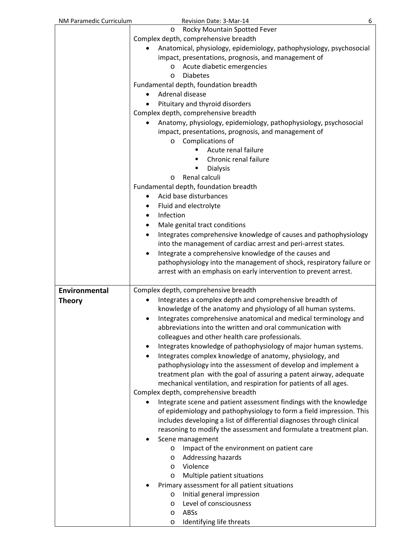| NM Paramedic Curriculum | Revision Date: 3-Mar-14<br>6                                            |
|-------------------------|-------------------------------------------------------------------------|
|                         | Rocky Mountain Spotted Fever<br>O                                       |
|                         | Complex depth, comprehensive breadth                                    |
|                         | Anatomical, physiology, epidemiology, pathophysiology, psychosocial     |
|                         | impact, presentations, prognosis, and management of                     |
|                         | Acute diabetic emergencies<br>$\circ$                                   |
|                         | <b>Diabetes</b><br>$\circ$                                              |
|                         | Fundamental depth, foundation breadth                                   |
|                         | Adrenal disease                                                         |
|                         | Pituitary and thyroid disorders                                         |
|                         | Complex depth, comprehensive breadth                                    |
|                         | Anatomy, physiology, epidemiology, pathophysiology, psychosocial        |
|                         | impact, presentations, prognosis, and management of                     |
|                         | o Complications of                                                      |
|                         | Acute renal failure                                                     |
|                         | Chronic renal failure                                                   |
|                         |                                                                         |
|                         | <b>Dialysis</b>                                                         |
|                         | Renal calculi<br>$\circ$                                                |
|                         | Fundamental depth, foundation breadth                                   |
|                         | Acid base disturbances                                                  |
|                         | Fluid and electrolyte<br>٠                                              |
|                         | Infection                                                               |
|                         | Male genital tract conditions                                           |
|                         | Integrates comprehensive knowledge of causes and pathophysiology        |
|                         | into the management of cardiac arrest and peri-arrest states.           |
|                         | Integrate a comprehensive knowledge of the causes and                   |
|                         | pathophysiology into the management of shock, respiratory failure or    |
|                         | arrest with an emphasis on early intervention to prevent arrest.        |
|                         |                                                                         |
| Environmental           | Complex depth, comprehensive breadth                                    |
| <b>Theory</b>           | Integrates a complex depth and comprehensive breadth of                 |
|                         | knowledge of the anatomy and physiology of all human systems.           |
|                         | Integrates comprehensive anatomical and medical terminology and         |
|                         | abbreviations into the written and oral communication with              |
|                         | colleagues and other health care professionals.                         |
|                         | Integrates knowledge of pathophysiology of major human systems.         |
|                         | Integrates complex knowledge of anatomy, physiology, and                |
|                         | pathophysiology into the assessment of develop and implement a          |
|                         | treatment plan with the goal of assuring a patent airway, adequate      |
|                         | mechanical ventilation, and respiration for patients of all ages.       |
|                         | Complex depth, comprehensive breadth                                    |
|                         | Integrate scene and patient assessment findings with the knowledge<br>٠ |
|                         | of epidemiology and pathophysiology to form a field impression. This    |
|                         | includes developing a list of differential diagnoses through clinical   |
|                         | reasoning to modify the assessment and formulate a treatment plan.      |
|                         | Scene management                                                        |
|                         | Impact of the environment on patient care<br>$\circ$                    |
|                         | Addressing hazards<br>$\circ$                                           |
|                         | Violence<br>$\circ$                                                     |
|                         | Multiple patient situations<br>O                                        |
|                         | Primary assessment for all patient situations                           |
|                         | Initial general impression<br>$\circ$                                   |
|                         | Level of consciousness<br>$\circ$                                       |
|                         | ABSs<br>$\circ$                                                         |
|                         | Identifying life threats<br>O                                           |
|                         |                                                                         |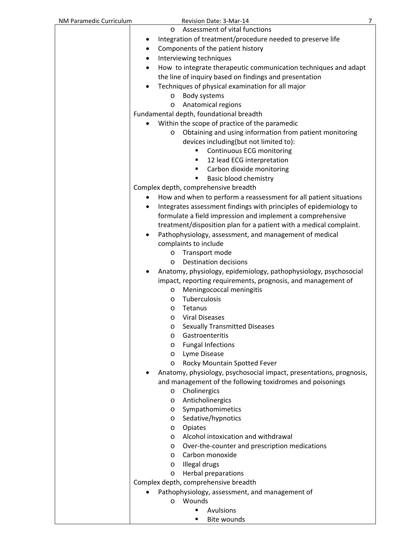| Assessment of vital functions<br>$\circ$<br>Integration of treatment/procedure needed to preserve life<br>٠<br>Components of the patient history<br>٠<br>Interviewing techniques<br>٠<br>How to integrate therapeutic communication techniques and adapt<br>$\bullet$<br>the line of inquiry based on findings and presentation<br>Techniques of physical examination for all major<br>$\bullet$<br>Body systems<br>$\circ$<br>Anatomical regions<br>O<br>Fundamental depth, foundational breadth<br>Within the scope of practice of the paramedic<br>Obtaining and using information from patient monitoring<br>O<br>devices including(but not limited to):<br>Continuous ECG monitoring<br>12 lead ECG interpretation<br>Carbon dioxide monitoring<br>٠<br>Basic blood chemistry<br>٠<br>Complex depth, comprehensive breadth<br>How and when to perform a reassessment for all patient situations<br>Integrates assessment findings with principles of epidemiology to<br>formulate a field impression and implement a comprehensive<br>treatment/disposition plan for a patient with a medical complaint.<br>Pathophysiology, assessment, and management of medical<br>$\bullet$<br>complaints to include<br>Transport mode<br>O<br><b>Destination decisions</b><br>O<br>Anatomy, physiology, epidemiology, pathophysiology, psychosocial<br>impact, reporting requirements, prognosis, and management of<br>Meningococcal meningitis<br>O<br>Tuberculosis<br>O<br>Tetanus<br>O<br><b>Viral Diseases</b><br>O<br><b>Sexually Transmitted Diseases</b><br>O |
|----------------------------------------------------------------------------------------------------------------------------------------------------------------------------------------------------------------------------------------------------------------------------------------------------------------------------------------------------------------------------------------------------------------------------------------------------------------------------------------------------------------------------------------------------------------------------------------------------------------------------------------------------------------------------------------------------------------------------------------------------------------------------------------------------------------------------------------------------------------------------------------------------------------------------------------------------------------------------------------------------------------------------------------------------------------------------------------------------------------------------------------------------------------------------------------------------------------------------------------------------------------------------------------------------------------------------------------------------------------------------------------------------------------------------------------------------------------------------------------------------------------------------------------------------------------|
|                                                                                                                                                                                                                                                                                                                                                                                                                                                                                                                                                                                                                                                                                                                                                                                                                                                                                                                                                                                                                                                                                                                                                                                                                                                                                                                                                                                                                                                                                                                                                                |
|                                                                                                                                                                                                                                                                                                                                                                                                                                                                                                                                                                                                                                                                                                                                                                                                                                                                                                                                                                                                                                                                                                                                                                                                                                                                                                                                                                                                                                                                                                                                                                |
|                                                                                                                                                                                                                                                                                                                                                                                                                                                                                                                                                                                                                                                                                                                                                                                                                                                                                                                                                                                                                                                                                                                                                                                                                                                                                                                                                                                                                                                                                                                                                                |
|                                                                                                                                                                                                                                                                                                                                                                                                                                                                                                                                                                                                                                                                                                                                                                                                                                                                                                                                                                                                                                                                                                                                                                                                                                                                                                                                                                                                                                                                                                                                                                |
|                                                                                                                                                                                                                                                                                                                                                                                                                                                                                                                                                                                                                                                                                                                                                                                                                                                                                                                                                                                                                                                                                                                                                                                                                                                                                                                                                                                                                                                                                                                                                                |
|                                                                                                                                                                                                                                                                                                                                                                                                                                                                                                                                                                                                                                                                                                                                                                                                                                                                                                                                                                                                                                                                                                                                                                                                                                                                                                                                                                                                                                                                                                                                                                |
|                                                                                                                                                                                                                                                                                                                                                                                                                                                                                                                                                                                                                                                                                                                                                                                                                                                                                                                                                                                                                                                                                                                                                                                                                                                                                                                                                                                                                                                                                                                                                                |
|                                                                                                                                                                                                                                                                                                                                                                                                                                                                                                                                                                                                                                                                                                                                                                                                                                                                                                                                                                                                                                                                                                                                                                                                                                                                                                                                                                                                                                                                                                                                                                |
|                                                                                                                                                                                                                                                                                                                                                                                                                                                                                                                                                                                                                                                                                                                                                                                                                                                                                                                                                                                                                                                                                                                                                                                                                                                                                                                                                                                                                                                                                                                                                                |
|                                                                                                                                                                                                                                                                                                                                                                                                                                                                                                                                                                                                                                                                                                                                                                                                                                                                                                                                                                                                                                                                                                                                                                                                                                                                                                                                                                                                                                                                                                                                                                |
|                                                                                                                                                                                                                                                                                                                                                                                                                                                                                                                                                                                                                                                                                                                                                                                                                                                                                                                                                                                                                                                                                                                                                                                                                                                                                                                                                                                                                                                                                                                                                                |
|                                                                                                                                                                                                                                                                                                                                                                                                                                                                                                                                                                                                                                                                                                                                                                                                                                                                                                                                                                                                                                                                                                                                                                                                                                                                                                                                                                                                                                                                                                                                                                |
|                                                                                                                                                                                                                                                                                                                                                                                                                                                                                                                                                                                                                                                                                                                                                                                                                                                                                                                                                                                                                                                                                                                                                                                                                                                                                                                                                                                                                                                                                                                                                                |
|                                                                                                                                                                                                                                                                                                                                                                                                                                                                                                                                                                                                                                                                                                                                                                                                                                                                                                                                                                                                                                                                                                                                                                                                                                                                                                                                                                                                                                                                                                                                                                |
|                                                                                                                                                                                                                                                                                                                                                                                                                                                                                                                                                                                                                                                                                                                                                                                                                                                                                                                                                                                                                                                                                                                                                                                                                                                                                                                                                                                                                                                                                                                                                                |
|                                                                                                                                                                                                                                                                                                                                                                                                                                                                                                                                                                                                                                                                                                                                                                                                                                                                                                                                                                                                                                                                                                                                                                                                                                                                                                                                                                                                                                                                                                                                                                |
|                                                                                                                                                                                                                                                                                                                                                                                                                                                                                                                                                                                                                                                                                                                                                                                                                                                                                                                                                                                                                                                                                                                                                                                                                                                                                                                                                                                                                                                                                                                                                                |
|                                                                                                                                                                                                                                                                                                                                                                                                                                                                                                                                                                                                                                                                                                                                                                                                                                                                                                                                                                                                                                                                                                                                                                                                                                                                                                                                                                                                                                                                                                                                                                |
|                                                                                                                                                                                                                                                                                                                                                                                                                                                                                                                                                                                                                                                                                                                                                                                                                                                                                                                                                                                                                                                                                                                                                                                                                                                                                                                                                                                                                                                                                                                                                                |
|                                                                                                                                                                                                                                                                                                                                                                                                                                                                                                                                                                                                                                                                                                                                                                                                                                                                                                                                                                                                                                                                                                                                                                                                                                                                                                                                                                                                                                                                                                                                                                |
|                                                                                                                                                                                                                                                                                                                                                                                                                                                                                                                                                                                                                                                                                                                                                                                                                                                                                                                                                                                                                                                                                                                                                                                                                                                                                                                                                                                                                                                                                                                                                                |
|                                                                                                                                                                                                                                                                                                                                                                                                                                                                                                                                                                                                                                                                                                                                                                                                                                                                                                                                                                                                                                                                                                                                                                                                                                                                                                                                                                                                                                                                                                                                                                |
|                                                                                                                                                                                                                                                                                                                                                                                                                                                                                                                                                                                                                                                                                                                                                                                                                                                                                                                                                                                                                                                                                                                                                                                                                                                                                                                                                                                                                                                                                                                                                                |
|                                                                                                                                                                                                                                                                                                                                                                                                                                                                                                                                                                                                                                                                                                                                                                                                                                                                                                                                                                                                                                                                                                                                                                                                                                                                                                                                                                                                                                                                                                                                                                |
|                                                                                                                                                                                                                                                                                                                                                                                                                                                                                                                                                                                                                                                                                                                                                                                                                                                                                                                                                                                                                                                                                                                                                                                                                                                                                                                                                                                                                                                                                                                                                                |
|                                                                                                                                                                                                                                                                                                                                                                                                                                                                                                                                                                                                                                                                                                                                                                                                                                                                                                                                                                                                                                                                                                                                                                                                                                                                                                                                                                                                                                                                                                                                                                |
|                                                                                                                                                                                                                                                                                                                                                                                                                                                                                                                                                                                                                                                                                                                                                                                                                                                                                                                                                                                                                                                                                                                                                                                                                                                                                                                                                                                                                                                                                                                                                                |
|                                                                                                                                                                                                                                                                                                                                                                                                                                                                                                                                                                                                                                                                                                                                                                                                                                                                                                                                                                                                                                                                                                                                                                                                                                                                                                                                                                                                                                                                                                                                                                |
|                                                                                                                                                                                                                                                                                                                                                                                                                                                                                                                                                                                                                                                                                                                                                                                                                                                                                                                                                                                                                                                                                                                                                                                                                                                                                                                                                                                                                                                                                                                                                                |
|                                                                                                                                                                                                                                                                                                                                                                                                                                                                                                                                                                                                                                                                                                                                                                                                                                                                                                                                                                                                                                                                                                                                                                                                                                                                                                                                                                                                                                                                                                                                                                |
|                                                                                                                                                                                                                                                                                                                                                                                                                                                                                                                                                                                                                                                                                                                                                                                                                                                                                                                                                                                                                                                                                                                                                                                                                                                                                                                                                                                                                                                                                                                                                                |
|                                                                                                                                                                                                                                                                                                                                                                                                                                                                                                                                                                                                                                                                                                                                                                                                                                                                                                                                                                                                                                                                                                                                                                                                                                                                                                                                                                                                                                                                                                                                                                |
|                                                                                                                                                                                                                                                                                                                                                                                                                                                                                                                                                                                                                                                                                                                                                                                                                                                                                                                                                                                                                                                                                                                                                                                                                                                                                                                                                                                                                                                                                                                                                                |
|                                                                                                                                                                                                                                                                                                                                                                                                                                                                                                                                                                                                                                                                                                                                                                                                                                                                                                                                                                                                                                                                                                                                                                                                                                                                                                                                                                                                                                                                                                                                                                |
| Gastroenteritis<br>O                                                                                                                                                                                                                                                                                                                                                                                                                                                                                                                                                                                                                                                                                                                                                                                                                                                                                                                                                                                                                                                                                                                                                                                                                                                                                                                                                                                                                                                                                                                                           |
| <b>Fungal Infections</b><br>O                                                                                                                                                                                                                                                                                                                                                                                                                                                                                                                                                                                                                                                                                                                                                                                                                                                                                                                                                                                                                                                                                                                                                                                                                                                                                                                                                                                                                                                                                                                                  |
| Lyme Disease<br>O                                                                                                                                                                                                                                                                                                                                                                                                                                                                                                                                                                                                                                                                                                                                                                                                                                                                                                                                                                                                                                                                                                                                                                                                                                                                                                                                                                                                                                                                                                                                              |
| Rocky Mountain Spotted Fever<br>O                                                                                                                                                                                                                                                                                                                                                                                                                                                                                                                                                                                                                                                                                                                                                                                                                                                                                                                                                                                                                                                                                                                                                                                                                                                                                                                                                                                                                                                                                                                              |
| Anatomy, physiology, psychosocial impact, presentations, prognosis,                                                                                                                                                                                                                                                                                                                                                                                                                                                                                                                                                                                                                                                                                                                                                                                                                                                                                                                                                                                                                                                                                                                                                                                                                                                                                                                                                                                                                                                                                            |
| and management of the following toxidromes and poisonings                                                                                                                                                                                                                                                                                                                                                                                                                                                                                                                                                                                                                                                                                                                                                                                                                                                                                                                                                                                                                                                                                                                                                                                                                                                                                                                                                                                                                                                                                                      |
| Cholinergics<br>$\circ$                                                                                                                                                                                                                                                                                                                                                                                                                                                                                                                                                                                                                                                                                                                                                                                                                                                                                                                                                                                                                                                                                                                                                                                                                                                                                                                                                                                                                                                                                                                                        |
| Anticholinergics<br>O                                                                                                                                                                                                                                                                                                                                                                                                                                                                                                                                                                                                                                                                                                                                                                                                                                                                                                                                                                                                                                                                                                                                                                                                                                                                                                                                                                                                                                                                                                                                          |
| Sympathomimetics<br>O                                                                                                                                                                                                                                                                                                                                                                                                                                                                                                                                                                                                                                                                                                                                                                                                                                                                                                                                                                                                                                                                                                                                                                                                                                                                                                                                                                                                                                                                                                                                          |
| Sedative/hypnotics<br>O                                                                                                                                                                                                                                                                                                                                                                                                                                                                                                                                                                                                                                                                                                                                                                                                                                                                                                                                                                                                                                                                                                                                                                                                                                                                                                                                                                                                                                                                                                                                        |
| Opiates<br>O                                                                                                                                                                                                                                                                                                                                                                                                                                                                                                                                                                                                                                                                                                                                                                                                                                                                                                                                                                                                                                                                                                                                                                                                                                                                                                                                                                                                                                                                                                                                                   |
| Alcohol intoxication and withdrawal<br>O                                                                                                                                                                                                                                                                                                                                                                                                                                                                                                                                                                                                                                                                                                                                                                                                                                                                                                                                                                                                                                                                                                                                                                                                                                                                                                                                                                                                                                                                                                                       |
| Over-the-counter and prescription medications<br>O                                                                                                                                                                                                                                                                                                                                                                                                                                                                                                                                                                                                                                                                                                                                                                                                                                                                                                                                                                                                                                                                                                                                                                                                                                                                                                                                                                                                                                                                                                             |
| Carbon monoxide<br>O                                                                                                                                                                                                                                                                                                                                                                                                                                                                                                                                                                                                                                                                                                                                                                                                                                                                                                                                                                                                                                                                                                                                                                                                                                                                                                                                                                                                                                                                                                                                           |
| Illegal drugs<br>O                                                                                                                                                                                                                                                                                                                                                                                                                                                                                                                                                                                                                                                                                                                                                                                                                                                                                                                                                                                                                                                                                                                                                                                                                                                                                                                                                                                                                                                                                                                                             |
| Herbal preparations                                                                                                                                                                                                                                                                                                                                                                                                                                                                                                                                                                                                                                                                                                                                                                                                                                                                                                                                                                                                                                                                                                                                                                                                                                                                                                                                                                                                                                                                                                                                            |
| O<br>Complex depth, comprehensive breadth                                                                                                                                                                                                                                                                                                                                                                                                                                                                                                                                                                                                                                                                                                                                                                                                                                                                                                                                                                                                                                                                                                                                                                                                                                                                                                                                                                                                                                                                                                                      |
|                                                                                                                                                                                                                                                                                                                                                                                                                                                                                                                                                                                                                                                                                                                                                                                                                                                                                                                                                                                                                                                                                                                                                                                                                                                                                                                                                                                                                                                                                                                                                                |
| Pathophysiology, assessment, and management of<br>Wounds                                                                                                                                                                                                                                                                                                                                                                                                                                                                                                                                                                                                                                                                                                                                                                                                                                                                                                                                                                                                                                                                                                                                                                                                                                                                                                                                                                                                                                                                                                       |
| $\circ$<br>Avulsions                                                                                                                                                                                                                                                                                                                                                                                                                                                                                                                                                                                                                                                                                                                                                                                                                                                                                                                                                                                                                                                                                                                                                                                                                                                                                                                                                                                                                                                                                                                                           |
| <b>Bite wounds</b>                                                                                                                                                                                                                                                                                                                                                                                                                                                                                                                                                                                                                                                                                                                                                                                                                                                                                                                                                                                                                                                                                                                                                                                                                                                                                                                                                                                                                                                                                                                                             |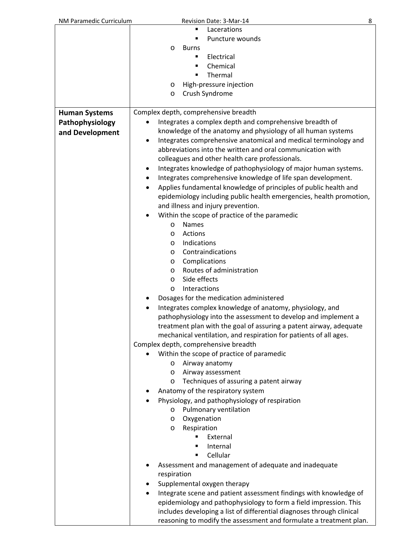| NM Paramedic Curriculum | 8<br>Revision Date: 3-Mar-14                                                                                                               |
|-------------------------|--------------------------------------------------------------------------------------------------------------------------------------------|
|                         | Lacerations                                                                                                                                |
|                         | Puncture wounds<br>٠                                                                                                                       |
|                         | <b>Burns</b><br>O                                                                                                                          |
|                         | Electrical<br>٠                                                                                                                            |
|                         | Chemical<br>٠                                                                                                                              |
|                         | Thermal<br>٠                                                                                                                               |
|                         | High-pressure injection<br>O                                                                                                               |
|                         | Crush Syndrome<br>O                                                                                                                        |
|                         |                                                                                                                                            |
| <b>Human Systems</b>    | Complex depth, comprehensive breadth                                                                                                       |
|                         |                                                                                                                                            |
| Pathophysiology         | Integrates a complex depth and comprehensive breadth of                                                                                    |
| and Development         | knowledge of the anatomy and physiology of all human systems                                                                               |
|                         | Integrates comprehensive anatomical and medical terminology and<br>$\bullet$                                                               |
|                         | abbreviations into the written and oral communication with                                                                                 |
|                         | colleagues and other health care professionals.                                                                                            |
|                         | Integrates knowledge of pathophysiology of major human systems.                                                                            |
|                         | Integrates comprehensive knowledge of life span development.                                                                               |
|                         | Applies fundamental knowledge of principles of public health and                                                                           |
|                         | epidemiology including public health emergencies, health promotion,                                                                        |
|                         | and illness and injury prevention.                                                                                                         |
|                         | Within the scope of practice of the paramedic                                                                                              |
|                         | <b>Names</b><br>$\circ$                                                                                                                    |
|                         | Actions<br>O                                                                                                                               |
|                         | Indications<br>O                                                                                                                           |
|                         | Contraindications                                                                                                                          |
|                         | $\circ$                                                                                                                                    |
|                         | Complications<br>$\circ$                                                                                                                   |
|                         | Routes of administration<br>O                                                                                                              |
|                         | Side effects<br>O                                                                                                                          |
|                         | Interactions<br>$\circ$                                                                                                                    |
|                         | Dosages for the medication administered                                                                                                    |
|                         | Integrates complex knowledge of anatomy, physiology, and                                                                                   |
|                         | pathophysiology into the assessment to develop and implement a                                                                             |
|                         | treatment plan with the goal of assuring a patent airway, adequate                                                                         |
|                         | mechanical ventilation, and respiration for patients of all ages.                                                                          |
|                         | Complex depth, comprehensive breadth                                                                                                       |
|                         | Within the scope of practice of paramedic                                                                                                  |
|                         | Airway anatomy<br>$\circ$                                                                                                                  |
|                         | Airway assessment<br>$\circ$                                                                                                               |
|                         | Techniques of assuring a patent airway<br>$\circ$                                                                                          |
|                         | Anatomy of the respiratory system                                                                                                          |
|                         | Physiology, and pathophysiology of respiration                                                                                             |
|                         | Pulmonary ventilation<br>O                                                                                                                 |
|                         |                                                                                                                                            |
|                         | Oxygenation<br>O                                                                                                                           |
|                         | Respiration<br>O                                                                                                                           |
|                         | External                                                                                                                                   |
|                         | Internal<br>٠                                                                                                                              |
|                         | Cellular<br>٠                                                                                                                              |
|                         | Assessment and management of adequate and inadequate                                                                                       |
|                         | respiration                                                                                                                                |
|                         | Supplemental oxygen therapy                                                                                                                |
|                         |                                                                                                                                            |
|                         |                                                                                                                                            |
|                         | Integrate scene and patient assessment findings with knowledge of                                                                          |
|                         | epidemiology and pathophysiology to form a field impression. This<br>includes developing a list of differential diagnoses through clinical |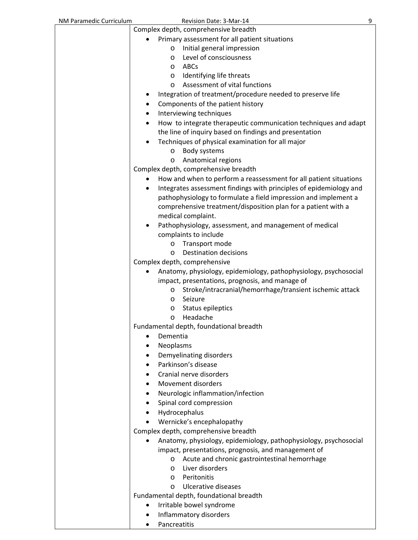| NM Paramedic Curriculum | Revision Date: 3-Mar-14<br>9                                                                                            |
|-------------------------|-------------------------------------------------------------------------------------------------------------------------|
|                         | Complex depth, comprehensive breadth                                                                                    |
|                         | Primary assessment for all patient situations                                                                           |
|                         | Initial general impression<br>$\circ$                                                                                   |
|                         | Level of consciousness<br>$\circ$                                                                                       |
|                         | ABCs<br>$\circ$                                                                                                         |
|                         | Identifying life threats<br>O                                                                                           |
|                         | Assessment of vital functions<br>$\circ$                                                                                |
|                         | Integration of treatment/procedure needed to preserve life                                                              |
|                         | Components of the patient history<br>٠                                                                                  |
|                         | Interviewing techniques<br>٠                                                                                            |
|                         | How to integrate therapeutic communication techniques and adapt                                                         |
|                         | the line of inquiry based on findings and presentation                                                                  |
|                         | Techniques of physical examination for all major                                                                        |
|                         | Body systems<br>$\circ$                                                                                                 |
|                         | Anatomical regions<br>$\circ$                                                                                           |
|                         | Complex depth, comprehensive breadth                                                                                    |
|                         | How and when to perform a reassessment for all patient situations                                                       |
|                         | Integrates assessment findings with principles of epidemiology and<br>٠                                                 |
|                         | pathophysiology to formulate a field impression and implement a                                                         |
|                         | comprehensive treatment/disposition plan for a patient with a                                                           |
|                         | medical complaint.                                                                                                      |
|                         | Pathophysiology, assessment, and management of medical<br>$\bullet$                                                     |
|                         | complaints to include                                                                                                   |
|                         | Transport mode<br>O                                                                                                     |
|                         | <b>Destination decisions</b><br>$\circ$                                                                                 |
|                         | Complex depth, comprehensive                                                                                            |
|                         | Anatomy, physiology, epidemiology, pathophysiology, psychosocial                                                        |
|                         | impact, presentations, prognosis, and manage of                                                                         |
|                         | Stroke/intracranial/hemorrhage/transient ischemic attack<br>O                                                           |
|                         | Seizure<br>$\circ$                                                                                                      |
|                         | Status epileptics<br>O                                                                                                  |
|                         | Headache<br>O                                                                                                           |
|                         | Fundamental depth, foundational breadth                                                                                 |
|                         | Dementia                                                                                                                |
|                         | Neoplasms                                                                                                               |
|                         | Demyelinating disorders                                                                                                 |
|                         | Parkinson's disease                                                                                                     |
|                         | Cranial nerve disorders<br>$\bullet$                                                                                    |
|                         | Movement disorders                                                                                                      |
|                         | Neurologic inflammation/infection                                                                                       |
|                         | Spinal cord compression<br>٠                                                                                            |
|                         | Hydrocephalus                                                                                                           |
|                         | Wernicke's encephalopathy                                                                                               |
|                         | Complex depth, comprehensive breadth                                                                                    |
|                         |                                                                                                                         |
|                         | Anatomy, physiology, epidemiology, pathophysiology, psychosocial<br>impact, presentations, prognosis, and management of |
|                         | Acute and chronic gastrointestinal hemorrhage                                                                           |
|                         | $\circ$<br>Liver disorders<br>$\circ$                                                                                   |
|                         | Peritonitis<br>$\circ$                                                                                                  |
|                         | Ulcerative diseases<br>$\circ$                                                                                          |
|                         | Fundamental depth, foundational breadth                                                                                 |
|                         | Irritable bowel syndrome                                                                                                |
|                         | Inflammatory disorders                                                                                                  |
|                         | Pancreatitis                                                                                                            |
|                         |                                                                                                                         |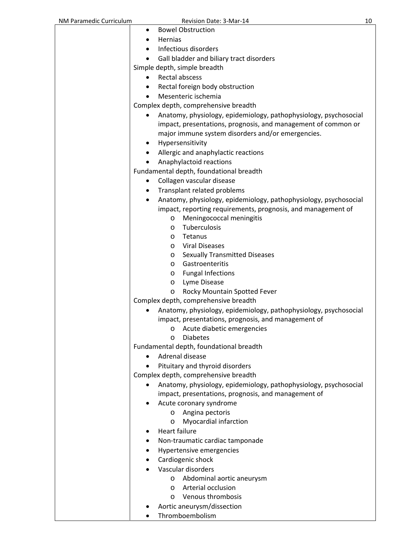| NM Paramedic Curriculum | Revision Date: 3-Mar-14                                                                                                               | 10 |
|-------------------------|---------------------------------------------------------------------------------------------------------------------------------------|----|
|                         | <b>Bowel Obstruction</b><br>٠                                                                                                         |    |
|                         | <b>Hernias</b><br>٠                                                                                                                   |    |
|                         | Infectious disorders                                                                                                                  |    |
|                         | Gall bladder and biliary tract disorders                                                                                              |    |
|                         | Simple depth, simple breadth                                                                                                          |    |
|                         | <b>Rectal abscess</b><br>$\bullet$                                                                                                    |    |
|                         | Rectal foreign body obstruction<br>٠                                                                                                  |    |
|                         | Mesenteric ischemia                                                                                                                   |    |
|                         | Complex depth, comprehensive breadth                                                                                                  |    |
|                         | Anatomy, physiology, epidemiology, pathophysiology, psychosocial<br>impact, presentations, prognosis, and management of common or     |    |
|                         | major immune system disorders and/or emergencies.                                                                                     |    |
|                         | Hypersensitivity<br>٠                                                                                                                 |    |
|                         | Allergic and anaphylactic reactions                                                                                                   |    |
|                         | Anaphylactoid reactions                                                                                                               |    |
|                         | Fundamental depth, foundational breadth                                                                                               |    |
|                         | Collagen vascular disease<br>٠                                                                                                        |    |
|                         | Transplant related problems                                                                                                           |    |
|                         | Anatomy, physiology, epidemiology, pathophysiology, psychosocial<br>٠<br>impact, reporting requirements, prognosis, and management of |    |
|                         | Meningococcal meningitis<br>$\circ$                                                                                                   |    |
|                         | Tuberculosis<br>$\circ$                                                                                                               |    |
|                         | Tetanus<br>$\circ$                                                                                                                    |    |
|                         | <b>Viral Diseases</b><br>$\circ$                                                                                                      |    |
|                         | <b>Sexually Transmitted Diseases</b><br>O                                                                                             |    |
|                         | Gastroenteritis<br>$\circ$                                                                                                            |    |
|                         | <b>Fungal Infections</b><br>O                                                                                                         |    |
|                         | Lyme Disease<br>O                                                                                                                     |    |
|                         | Rocky Mountain Spotted Fever<br>O                                                                                                     |    |
|                         | Complex depth, comprehensive breadth                                                                                                  |    |
|                         | Anatomy, physiology, epidemiology, pathophysiology, psychosocial                                                                      |    |
|                         | impact, presentations, prognosis, and management of                                                                                   |    |
|                         | Acute diabetic emergencies<br>$\circ$                                                                                                 |    |
|                         | <b>Diabetes</b><br>$\circ$                                                                                                            |    |
|                         | Fundamental depth, foundational breadth                                                                                               |    |
|                         | Adrenal disease                                                                                                                       |    |
|                         | Pituitary and thyroid disorders                                                                                                       |    |
|                         | Complex depth, comprehensive breadth                                                                                                  |    |
|                         | Anatomy, physiology, epidemiology, pathophysiology, psychosocial                                                                      |    |
|                         | impact, presentations, prognosis, and management of                                                                                   |    |
|                         | Acute coronary syndrome                                                                                                               |    |
|                         | Angina pectoris<br>$\circ$                                                                                                            |    |
|                         | Myocardial infarction<br>O                                                                                                            |    |
|                         | <b>Heart failure</b><br>٠                                                                                                             |    |
|                         | Non-traumatic cardiac tamponade<br>٠                                                                                                  |    |
|                         | Hypertensive emergencies<br>٠                                                                                                         |    |
|                         | Cardiogenic shock<br>$\bullet$                                                                                                        |    |
|                         | Vascular disorders                                                                                                                    |    |
|                         | Abdominal aortic aneurysm<br>$\circ$                                                                                                  |    |
|                         | Arterial occlusion<br>$\circ$                                                                                                         |    |
|                         | Venous thrombosis<br>$\circ$                                                                                                          |    |
|                         | Aortic aneurysm/dissection                                                                                                            |    |
|                         | Thromboembolism                                                                                                                       |    |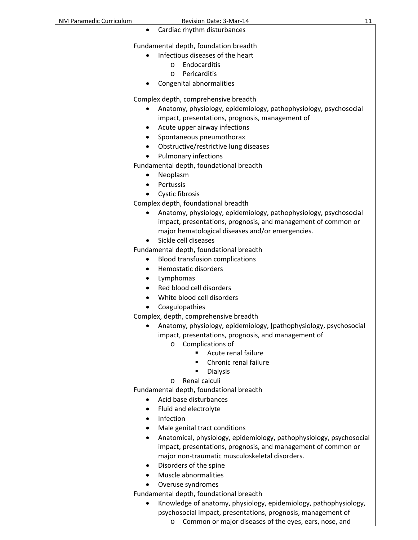| NM Paramedic Curriculum | Revision Date: 3-Mar-14                                                          | 11 |
|-------------------------|----------------------------------------------------------------------------------|----|
|                         | Cardiac rhythm disturbances<br>٠                                                 |    |
|                         |                                                                                  |    |
|                         | Fundamental depth, foundation breadth                                            |    |
|                         | Infectious diseases of the heart<br>$\bullet$                                    |    |
|                         | Endocarditis<br>$\circ$                                                          |    |
|                         | Pericarditis<br>$\circ$                                                          |    |
|                         | Congenital abnormalities                                                         |    |
|                         |                                                                                  |    |
|                         | Complex depth, comprehensive breadth                                             |    |
|                         | Anatomy, physiology, epidemiology, pathophysiology, psychosocial                 |    |
|                         | impact, presentations, prognosis, management of                                  |    |
|                         | Acute upper airway infections                                                    |    |
|                         | Spontaneous pneumothorax<br>٠                                                    |    |
|                         | Obstructive/restrictive lung diseases<br>٠                                       |    |
|                         | Pulmonary infections                                                             |    |
|                         | Fundamental depth, foundational breadth                                          |    |
|                         | Neoplasm<br>٠                                                                    |    |
|                         | Pertussis                                                                        |    |
|                         | Cystic fibrosis                                                                  |    |
|                         | Complex depth, foundational breadth                                              |    |
|                         | Anatomy, physiology, epidemiology, pathophysiology, psychosocial<br>$\bullet$    |    |
|                         | impact, presentations, prognosis, and management of common or                    |    |
|                         | major hematological diseases and/or emergencies.                                 |    |
|                         | Sickle cell diseases                                                             |    |
|                         | Fundamental depth, foundational breadth                                          |    |
|                         | <b>Blood transfusion complications</b>                                           |    |
|                         | Hemostatic disorders<br>٠                                                        |    |
|                         | Lymphomas<br>٠                                                                   |    |
|                         | Red blood cell disorders<br>$\bullet$                                            |    |
|                         | White blood cell disorders                                                       |    |
|                         | Coagulopathies                                                                   |    |
|                         | Complex, depth, comprehensive breadth                                            |    |
|                         | Anatomy, physiology, epidemiology, [pathophysiology, psychosocial                |    |
|                         | impact, presentations, prognosis, and management of                              |    |
|                         | Complications of<br>O                                                            |    |
|                         | Acute renal failure                                                              |    |
|                         | Chronic renal failure                                                            |    |
|                         | <b>Dialysis</b>                                                                  |    |
|                         | Renal calculi<br>O                                                               |    |
|                         | Fundamental depth, foundational breadth                                          |    |
|                         | Acid base disturbances                                                           |    |
|                         | Fluid and electrolyte                                                            |    |
|                         | Infection                                                                        |    |
|                         | Male genital tract conditions                                                    |    |
|                         | Anatomical, physiology, epidemiology, pathophysiology, psychosocial<br>$\bullet$ |    |
|                         | impact, presentations, prognosis, and management of common or                    |    |
|                         | major non-traumatic musculoskeletal disorders.                                   |    |
|                         | Disorders of the spine                                                           |    |
|                         | Muscle abnormalities                                                             |    |
|                         | Overuse syndromes                                                                |    |
|                         | Fundamental depth, foundational breadth                                          |    |
|                         | Knowledge of anatomy, physiology, epidemiology, pathophysiology,<br>$\bullet$    |    |
|                         | psychosocial impact, presentations, prognosis, management of                     |    |
|                         | Common or major diseases of the eyes, ears, nose, and<br>O                       |    |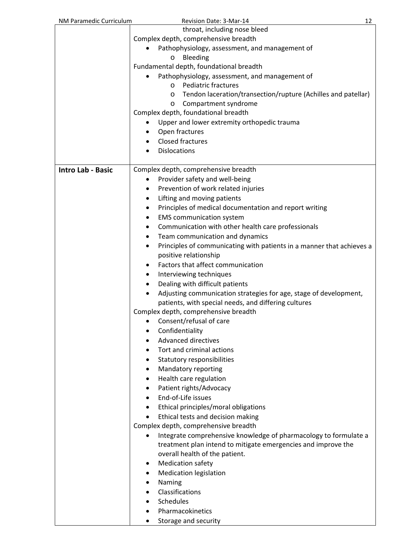| NM Paramedic Curriculum  | Revision Date: 3-Mar-14<br>12                                                                       |  |
|--------------------------|-----------------------------------------------------------------------------------------------------|--|
|                          | throat, including nose bleed                                                                        |  |
|                          | Complex depth, comprehensive breadth                                                                |  |
|                          | Pathophysiology, assessment, and management of                                                      |  |
|                          | Bleeding<br>O                                                                                       |  |
|                          | Fundamental depth, foundational breadth                                                             |  |
|                          | Pathophysiology, assessment, and management of                                                      |  |
|                          | <b>Pediatric fractures</b><br>$\circ$                                                               |  |
|                          | Tendon laceration/transection/rupture (Achilles and patellar)<br>$\circ$                            |  |
|                          | Compartment syndrome<br>$\circ$                                                                     |  |
|                          | Complex depth, foundational breadth                                                                 |  |
|                          | Upper and lower extremity orthopedic trauma                                                         |  |
|                          | Open fractures                                                                                      |  |
|                          | Closed fractures                                                                                    |  |
|                          | <b>Dislocations</b>                                                                                 |  |
|                          |                                                                                                     |  |
| <b>Intro Lab - Basic</b> | Complex depth, comprehensive breadth                                                                |  |
|                          | Provider safety and well-being                                                                      |  |
|                          | Prevention of work related injuries                                                                 |  |
|                          | Lifting and moving patients<br>٠<br>Principles of medical documentation and report writing          |  |
|                          |                                                                                                     |  |
|                          | <b>EMS</b> communication system<br>٠                                                                |  |
|                          | Communication with other health care professionals<br>٠<br>Team communication and dynamics          |  |
|                          |                                                                                                     |  |
|                          | Principles of communicating with patients in a manner that achieves a<br>٠<br>positive relationship |  |
|                          | Factors that affect communication                                                                   |  |
|                          |                                                                                                     |  |
|                          | Interviewing techniques<br>Dealing with difficult patients                                          |  |
|                          | Adjusting communication strategies for age, stage of development,                                   |  |
|                          | patients, with special needs, and differing cultures                                                |  |
|                          | Complex depth, comprehensive breadth                                                                |  |
|                          | Consent/refusal of care                                                                             |  |
|                          | Confidentiality                                                                                     |  |
|                          | <b>Advanced directives</b>                                                                          |  |
|                          | Tort and criminal actions                                                                           |  |
|                          | Statutory responsibilities                                                                          |  |
|                          | Mandatory reporting                                                                                 |  |
|                          | Health care regulation<br>٠                                                                         |  |
|                          | Patient rights/Advocacy                                                                             |  |
|                          | End-of-Life issues                                                                                  |  |
|                          | Ethical principles/moral obligations                                                                |  |
|                          | Ethical tests and decision making                                                                   |  |
|                          | Complex depth, comprehensive breadth                                                                |  |
|                          | Integrate comprehensive knowledge of pharmacology to formulate a<br>٠                               |  |
|                          | treatment plan intend to mitigate emergencies and improve the                                       |  |
|                          | overall health of the patient.                                                                      |  |
|                          | <b>Medication safety</b>                                                                            |  |
|                          | <b>Medication legislation</b>                                                                       |  |
|                          | Naming                                                                                              |  |
|                          | Classifications                                                                                     |  |
|                          | Schedules                                                                                           |  |
|                          | Pharmacokinetics                                                                                    |  |
|                          | Storage and security                                                                                |  |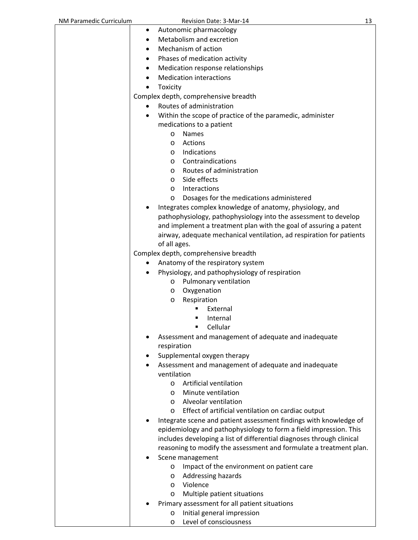| NM Paramedic Curriculum |           | Revision Date: 3-Mar-14                                               | 13 |
|-------------------------|-----------|-----------------------------------------------------------------------|----|
|                         | ٠         | Autonomic pharmacology                                                |    |
|                         | $\bullet$ | Metabolism and excretion                                              |    |
|                         | ٠         | Mechanism of action                                                   |    |
|                         | $\bullet$ | Phases of medication activity                                         |    |
|                         | ٠         | Medication response relationships                                     |    |
|                         |           | <b>Medication interactions</b>                                        |    |
|                         |           |                                                                       |    |
|                         | Toxicity  |                                                                       |    |
|                         |           | Complex depth, comprehensive breadth                                  |    |
|                         | $\bullet$ | Routes of administration                                              |    |
|                         | $\bullet$ | Within the scope of practice of the paramedic, administer             |    |
|                         |           | medications to a patient                                              |    |
|                         | O         | <b>Names</b>                                                          |    |
|                         | $\circ$   | Actions                                                               |    |
|                         | $\circ$   | Indications                                                           |    |
|                         | $\circ$   | Contraindications                                                     |    |
|                         | $\circ$   | Routes of administration                                              |    |
|                         | $\circ$   | Side effects                                                          |    |
|                         | O         | Interactions                                                          |    |
|                         | O         | Dosages for the medications administered                              |    |
|                         |           | Integrates complex knowledge of anatomy, physiology, and              |    |
|                         |           | pathophysiology, pathophysiology into the assessment to develop       |    |
|                         |           | and implement a treatment plan with the goal of assuring a patent     |    |
|                         |           | airway, adequate mechanical ventilation, ad respiration for patients  |    |
|                         |           | of all ages.                                                          |    |
|                         |           | Complex depth, comprehensive breadth                                  |    |
|                         |           | Anatomy of the respiratory system                                     |    |
|                         |           | Physiology, and pathophysiology of respiration                        |    |
|                         | O         | Pulmonary ventilation                                                 |    |
|                         | O         | Oxygenation                                                           |    |
|                         | O         | Respiration                                                           |    |
|                         |           | External                                                              |    |
|                         |           | Internal                                                              |    |
|                         |           | Cellular                                                              |    |
|                         |           | Assessment and management of adequate and inadequate                  |    |
|                         |           | respiration                                                           |    |
|                         | ٠         | Supplemental oxygen therapy                                           |    |
|                         |           | Assessment and management of adequate and inadequate                  |    |
|                         |           | ventilation                                                           |    |
|                         | $\circ$   | Artificial ventilation                                                |    |
|                         | $\circ$   | Minute ventilation                                                    |    |
|                         | O         | Alveolar ventilation                                                  |    |
|                         | O         | Effect of artificial ventilation on cardiac output                    |    |
|                         |           | Integrate scene and patient assessment findings with knowledge of     |    |
|                         |           | epidemiology and pathophysiology to form a field impression. This     |    |
|                         |           | includes developing a list of differential diagnoses through clinical |    |
|                         |           | reasoning to modify the assessment and formulate a treatment plan.    |    |
|                         |           | Scene management                                                      |    |
|                         | O         | Impact of the environment on patient care                             |    |
|                         | O         | Addressing hazards                                                    |    |
|                         | $\circ$   | Violence                                                              |    |
|                         | O         | Multiple patient situations                                           |    |
|                         |           | Primary assessment for all patient situations                         |    |
|                         | O         | Initial general impression                                            |    |
|                         | O         | Level of consciousness                                                |    |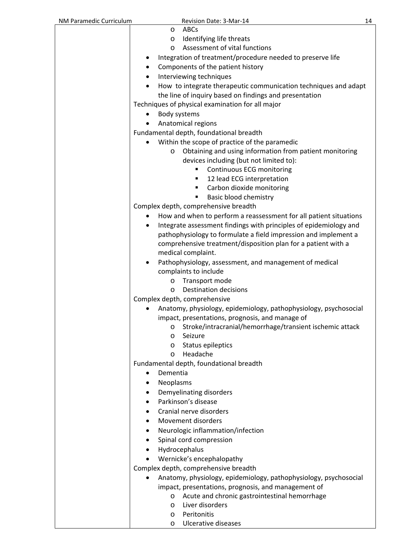| NM Paramedic Curriculum | Revision Date: 3-Mar-14                                            | 14 |
|-------------------------|--------------------------------------------------------------------|----|
|                         | ABCs<br>O                                                          |    |
|                         | Identifying life threats<br>$\circ$                                |    |
|                         | Assessment of vital functions<br>$\circ$                           |    |
|                         | Integration of treatment/procedure needed to preserve life         |    |
|                         | Components of the patient history                                  |    |
|                         | Interviewing techniques                                            |    |
|                         | How to integrate therapeutic communication techniques and adapt    |    |
|                         | the line of inquiry based on findings and presentation             |    |
|                         | Techniques of physical examination for all major                   |    |
|                         | Body systems                                                       |    |
|                         | Anatomical regions                                                 |    |
|                         | Fundamental depth, foundational breadth                            |    |
|                         | Within the scope of practice of the paramedic                      |    |
|                         | Obtaining and using information from patient monitoring<br>O       |    |
|                         | devices including (but not limited to):                            |    |
|                         | Continuous ECG monitoring<br>٠                                     |    |
|                         | 12 lead ECG interpretation<br>٠                                    |    |
|                         | Carbon dioxide monitoring<br>٠                                     |    |
|                         | Basic blood chemistry<br>٠<br>Complex depth, comprehensive breadth |    |
|                         | How and when to perform a reassessment for all patient situations  |    |
|                         | Integrate assessment findings with principles of epidemiology and  |    |
|                         | pathophysiology to formulate a field impression and implement a    |    |
|                         | comprehensive treatment/disposition plan for a patient with a      |    |
|                         | medical complaint.                                                 |    |
|                         | Pathophysiology, assessment, and management of medical             |    |
|                         | complaints to include                                              |    |
|                         | Transport mode<br>$\circ$                                          |    |
|                         | Destination decisions<br>$\circ$                                   |    |
|                         | Complex depth, comprehensive                                       |    |
|                         | Anatomy, physiology, epidemiology, pathophysiology, psychosocial   |    |
|                         | impact, presentations, prognosis, and manage of                    |    |
|                         | Stroke/intracranial/hemorrhage/transient ischemic attack<br>O      |    |
|                         | Seizure<br>$\circ$                                                 |    |
|                         | Status epileptics<br>$\circ$<br>Headache<br>$\circ$                |    |
|                         | Fundamental depth, foundational breadth                            |    |
|                         | Dementia                                                           |    |
|                         | Neoplasms                                                          |    |
|                         | Demyelinating disorders                                            |    |
|                         | Parkinson's disease                                                |    |
|                         | Cranial nerve disorders                                            |    |
|                         | Movement disorders                                                 |    |
|                         | Neurologic inflammation/infection                                  |    |
|                         | Spinal cord compression                                            |    |
|                         | Hydrocephalus                                                      |    |
|                         | Wernicke's encephalopathy                                          |    |
|                         | Complex depth, comprehensive breadth                               |    |
|                         | Anatomy, physiology, epidemiology, pathophysiology, psychosocial   |    |
|                         | impact, presentations, prognosis, and management of                |    |
|                         | Acute and chronic gastrointestinal hemorrhage<br>$\circ$           |    |
|                         | Liver disorders<br>O                                               |    |
|                         | Peritonitis<br>$\circ$                                             |    |
|                         | Ulcerative diseases<br>O                                           |    |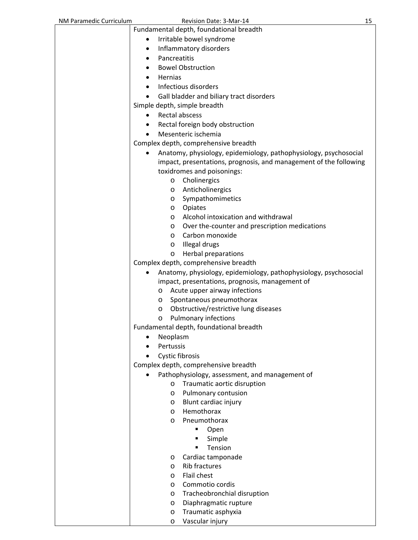| NM Paramedic Curriculum | Revision Date: 3-Mar-14                                               | 15 |
|-------------------------|-----------------------------------------------------------------------|----|
|                         | Fundamental depth, foundational breadth                               |    |
|                         | Irritable bowel syndrome                                              |    |
|                         | Inflammatory disorders<br>٠                                           |    |
|                         | Pancreatitis<br>٠                                                     |    |
|                         | <b>Bowel Obstruction</b>                                              |    |
|                         | Hernias<br>٠                                                          |    |
|                         | Infectious disorders                                                  |    |
|                         |                                                                       |    |
|                         | Gall bladder and biliary tract disorders                              |    |
|                         | Simple depth, simple breadth                                          |    |
|                         | <b>Rectal abscess</b>                                                 |    |
|                         | Rectal foreign body obstruction<br>٠                                  |    |
|                         | Mesenteric ischemia                                                   |    |
|                         | Complex depth, comprehensive breadth                                  |    |
|                         | Anatomy, physiology, epidemiology, pathophysiology, psychosocial<br>٠ |    |
|                         | impact, presentations, prognosis, and management of the following     |    |
|                         | toxidromes and poisonings:                                            |    |
|                         | Cholinergics<br>$\circ$                                               |    |
|                         | Anticholinergics<br>O                                                 |    |
|                         | Sympathomimetics<br>$\circ$                                           |    |
|                         | Opiates<br>$\circ$                                                    |    |
|                         | Alcohol intoxication and withdrawal<br>O                              |    |
|                         | Over the-counter and prescription medications<br>O                    |    |
|                         | Carbon monoxide<br>$\circ$                                            |    |
|                         | Illegal drugs<br>O                                                    |    |
|                         | <b>Herbal preparations</b><br>$\circ$                                 |    |
|                         | Complex depth, comprehensive breadth                                  |    |
|                         | Anatomy, physiology, epidemiology, pathophysiology, psychosocial<br>٠ |    |
|                         | impact, presentations, prognosis, management of                       |    |
|                         | Acute upper airway infections<br>O                                    |    |
|                         | Spontaneous pneumothorax<br>O                                         |    |
|                         | Obstructive/restrictive lung diseases<br>$\circ$                      |    |
|                         | o Pulmonary infections                                                |    |
|                         | Fundamental depth, foundational breadth                               |    |
|                         | Neoplasm                                                              |    |
|                         | Pertussis                                                             |    |
|                         | <b>Cystic fibrosis</b>                                                |    |
|                         | Complex depth, comprehensive breadth                                  |    |
|                         | Pathophysiology, assessment, and management of                        |    |
|                         | Traumatic aortic disruption<br>$\circ$                                |    |
|                         | Pulmonary contusion<br>O                                              |    |
|                         | Blunt cardiac injury<br>O                                             |    |
|                         | Hemothorax<br>$\circ$                                                 |    |
|                         | Pneumothorax<br>$\circ$                                               |    |
|                         | Open                                                                  |    |
|                         | Simple                                                                |    |
|                         | Tension                                                               |    |
|                         | Cardiac tamponade<br>O                                                |    |
|                         | <b>Rib fractures</b><br>$\circ$                                       |    |
|                         | Flail chest<br>O                                                      |    |
|                         | Commotio cordis<br>O                                                  |    |
|                         | Tracheobronchial disruption<br>O                                      |    |
|                         | Diaphragmatic rupture<br>O                                            |    |
|                         | Traumatic asphyxia<br>O                                               |    |
|                         | Vascular injury<br>O                                                  |    |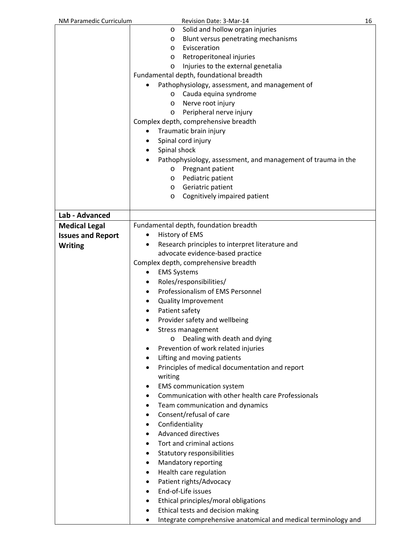| NM Paramedic Curriculum  | Revision Date: 3-Mar-14                                             | 16 |
|--------------------------|---------------------------------------------------------------------|----|
|                          | Solid and hollow organ injuries<br>O                                |    |
|                          | Blunt versus penetrating mechanisms<br>$\circ$                      |    |
|                          | Evisceration<br>$\circ$                                             |    |
|                          | Retroperitoneal injuries<br>$\circ$                                 |    |
|                          | Injuries to the external genetalia<br>O                             |    |
|                          | Fundamental depth, foundational breadth                             |    |
|                          | Pathophysiology, assessment, and management of                      |    |
|                          | Cauda equina syndrome<br>$\circ$                                    |    |
|                          | Nerve root injury<br>$\circ$                                        |    |
|                          | Peripheral nerve injury<br>$\circ$                                  |    |
|                          | Complex depth, comprehensive breadth                                |    |
|                          | Traumatic brain injury<br>$\bullet$                                 |    |
|                          | Spinal cord injury<br>٠                                             |    |
|                          | Spinal shock<br>$\bullet$                                           |    |
|                          | Pathophysiology, assessment, and management of trauma in the        |    |
|                          | Pregnant patient<br>$\circ$                                         |    |
|                          | Pediatric patient<br>$\circ$                                        |    |
|                          | Geriatric patient                                                   |    |
|                          | $\circ$<br>Cognitively impaired patient<br>$\circ$                  |    |
|                          |                                                                     |    |
| Lab - Advanced           |                                                                     |    |
| <b>Medical Legal</b>     | Fundamental depth, foundation breadth                               |    |
|                          |                                                                     |    |
| <b>Issues and Report</b> | History of EMS<br>$\bullet$                                         |    |
| <b>Writing</b>           | Research principles to interpret literature and<br>$\bullet$        |    |
|                          | advocate evidence-based practice                                    |    |
|                          | Complex depth, comprehensive breadth                                |    |
|                          | <b>EMS Systems</b><br>٠                                             |    |
|                          | Roles/responsibilities/<br>$\bullet$                                |    |
|                          | Professionalism of EMS Personnel<br>$\bullet$                       |    |
|                          | <b>Quality Improvement</b><br>٠                                     |    |
|                          | Patient safety<br>$\bullet$                                         |    |
|                          | Provider safety and wellbeing                                       |    |
|                          | Stress management                                                   |    |
|                          | Dealing with death and dying<br>O                                   |    |
|                          | Prevention of work related injuries<br>٠                            |    |
|                          | Lifting and moving patients<br>٠                                    |    |
|                          | Principles of medical documentation and report<br>٠                 |    |
|                          | writing                                                             |    |
|                          | <b>EMS</b> communication system<br>٠                                |    |
|                          | Communication with other health care Professionals<br>٠             |    |
|                          | Team communication and dynamics<br>٠                                |    |
|                          | Consent/refusal of care<br>٠                                        |    |
|                          | Confidentiality<br>٠                                                |    |
|                          | <b>Advanced directives</b><br>$\bullet$                             |    |
|                          |                                                                     |    |
|                          | Tort and criminal actions<br>٠                                      |    |
|                          | Statutory responsibilities<br>٠                                     |    |
|                          | Mandatory reporting<br>٠                                            |    |
|                          | Health care regulation<br>٠                                         |    |
|                          | Patient rights/Advocacy<br>٠                                        |    |
|                          | End-of-Life issues<br>$\bullet$                                     |    |
|                          | Ethical principles/moral obligations<br>٠                           |    |
|                          | Ethical tests and decision making<br>٠                              |    |
|                          | Integrate comprehensive anatomical and medical terminology and<br>٠ |    |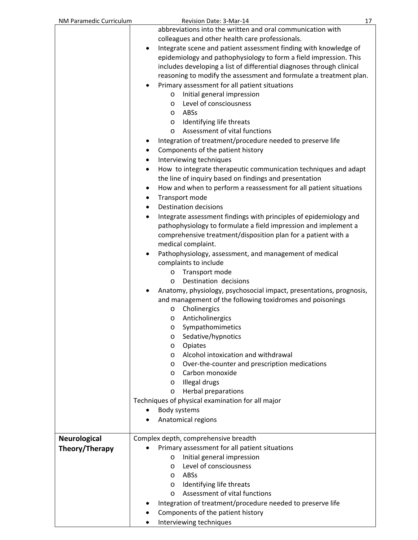| NM Paramedic Curriculum | Revision Date: 3-Mar-14                                                      | 17 |
|-------------------------|------------------------------------------------------------------------------|----|
|                         | abbreviations into the written and oral communication with                   |    |
|                         | colleagues and other health care professionals.                              |    |
|                         | Integrate scene and patient assessment finding with knowledge of             |    |
|                         | epidemiology and pathophysiology to form a field impression. This            |    |
|                         | includes developing a list of differential diagnoses through clinical        |    |
|                         | reasoning to modify the assessment and formulate a treatment plan.           |    |
|                         | Primary assessment for all patient situations                                |    |
|                         | Initial general impression<br>$\circ$                                        |    |
|                         | Level of consciousness<br>$\circ$                                            |    |
|                         | o ABSs                                                                       |    |
|                         | o Identifying life threats                                                   |    |
|                         | Assessment of vital functions<br>$\circ$                                     |    |
|                         |                                                                              |    |
|                         | Integration of treatment/procedure needed to preserve life                   |    |
|                         | Components of the patient history                                            |    |
|                         | Interviewing techniques<br>٠                                                 |    |
|                         | How to integrate therapeutic communication techniques and adapt<br>$\bullet$ |    |
|                         | the line of inquiry based on findings and presentation                       |    |
|                         | How and when to perform a reassessment for all patient situations            |    |
|                         | Transport mode<br>٠                                                          |    |
|                         | <b>Destination decisions</b>                                                 |    |
|                         | Integrate assessment findings with principles of epidemiology and<br>٠       |    |
|                         | pathophysiology to formulate a field impression and implement a              |    |
|                         | comprehensive treatment/disposition plan for a patient with a                |    |
|                         | medical complaint.                                                           |    |
|                         | Pathophysiology, assessment, and management of medical                       |    |
|                         | complaints to include                                                        |    |
|                         | o Transport mode                                                             |    |
|                         | Destination decisions<br>$\circ$                                             |    |
|                         | Anatomy, physiology, psychosocial impact, presentations, prognosis,          |    |
|                         | and management of the following toxidromes and poisonings                    |    |
|                         | Cholinergics<br>O                                                            |    |
|                         | Anticholinergics<br>O                                                        |    |
|                         | Sympathomimetics<br>O                                                        |    |
|                         | Sedative/hypnotics<br>$\circ$                                                |    |
|                         | Opiates<br>$\circ$                                                           |    |
|                         | Alcohol intoxication and withdrawal<br>$\circ$                               |    |
|                         | Over-the-counter and prescription medications<br>$\circ$                     |    |
|                         | Carbon monoxide<br>$\circ$                                                   |    |
|                         | Illegal drugs<br>$\circ$                                                     |    |
|                         | Herbal preparations<br>$\circ$                                               |    |
|                         | Techniques of physical examination for all major                             |    |
|                         | Body systems                                                                 |    |
|                         | Anatomical regions                                                           |    |
| <b>Neurological</b>     | Complex depth, comprehensive breadth                                         |    |
| Theory/Therapy          | Primary assessment for all patient situations                                |    |
|                         | Initial general impression<br>O                                              |    |
|                         | Level of consciousness<br>$\circ$                                            |    |
|                         | ABSs<br>$\circ$                                                              |    |
|                         | Identifying life threats<br>$\circ$                                          |    |
|                         | Assessment of vital functions<br>$\circ$                                     |    |
|                         | Integration of treatment/procedure needed to preserve life                   |    |
|                         | Components of the patient history                                            |    |
|                         | Interviewing techniques                                                      |    |
|                         |                                                                              |    |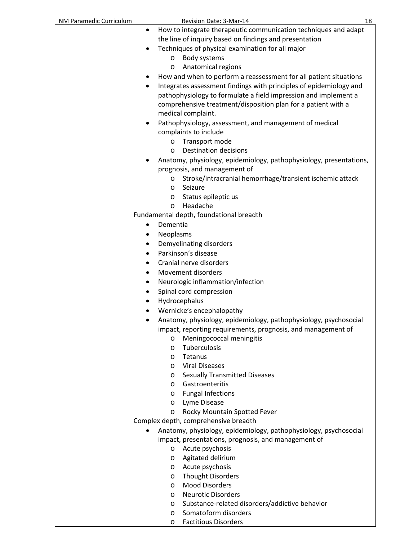| NM Paramedic Curriculum | Revision Date: 3-Mar-14                                                                                                                                                                                     | 18 |
|-------------------------|-------------------------------------------------------------------------------------------------------------------------------------------------------------------------------------------------------------|----|
|                         | How to integrate therapeutic communication techniques and adapt<br>٠                                                                                                                                        |    |
|                         | the line of inquiry based on findings and presentation                                                                                                                                                      |    |
|                         | Techniques of physical examination for all major<br>٠                                                                                                                                                       |    |
|                         | Body systems<br>$\circ$                                                                                                                                                                                     |    |
|                         | Anatomical regions<br>$\circ$                                                                                                                                                                               |    |
|                         | How and when to perform a reassessment for all patient situations                                                                                                                                           |    |
|                         | Integrates assessment findings with principles of epidemiology and<br>٠<br>pathophysiology to formulate a field impression and implement a<br>comprehensive treatment/disposition plan for a patient with a |    |
|                         | medical complaint.                                                                                                                                                                                          |    |
|                         | Pathophysiology, assessment, and management of medical<br>$\bullet$<br>complaints to include                                                                                                                |    |
|                         | Transport mode<br>$\circ$                                                                                                                                                                                   |    |
|                         | <b>Destination decisions</b><br>$\circ$                                                                                                                                                                     |    |
|                         | Anatomy, physiology, epidemiology, pathophysiology, presentations,<br>prognosis, and management of                                                                                                          |    |
|                         | Stroke/intracranial hemorrhage/transient ischemic attack<br>$\circ$                                                                                                                                         |    |
|                         | Seizure<br>$\circ$                                                                                                                                                                                          |    |
|                         | Status epileptic us<br>$\circ$                                                                                                                                                                              |    |
|                         | Headache<br>$\circ$                                                                                                                                                                                         |    |
|                         | Fundamental depth, foundational breadth                                                                                                                                                                     |    |
|                         | Dementia<br>٠                                                                                                                                                                                               |    |
|                         | Neoplasms<br>٠                                                                                                                                                                                              |    |
|                         | Demyelinating disorders<br>٠                                                                                                                                                                                |    |
|                         | Parkinson's disease                                                                                                                                                                                         |    |
|                         | Cranial nerve disorders                                                                                                                                                                                     |    |
|                         | Movement disorders<br>٠                                                                                                                                                                                     |    |
|                         | Neurologic inflammation/infection<br>٠                                                                                                                                                                      |    |
|                         | Spinal cord compression                                                                                                                                                                                     |    |
|                         | Hydrocephalus<br>$\bullet$                                                                                                                                                                                  |    |
|                         | Wernicke's encephalopathy                                                                                                                                                                                   |    |
|                         | Anatomy, physiology, epidemiology, pathophysiology, psychosocial                                                                                                                                            |    |
|                         | impact, reporting requirements, prognosis, and management of                                                                                                                                                |    |
|                         | Meningococcal meningitis<br>$\circ$                                                                                                                                                                         |    |
|                         | Tuberculosis<br>$\circ$                                                                                                                                                                                     |    |
|                         | Tetanus<br>$\circ$<br><b>Viral Diseases</b>                                                                                                                                                                 |    |
|                         | $\circ$<br><b>Sexually Transmitted Diseases</b>                                                                                                                                                             |    |
|                         | $\circ$<br>Gastroenteritis<br>$\circ$                                                                                                                                                                       |    |
|                         | <b>Fungal Infections</b><br>$\circ$                                                                                                                                                                         |    |
|                         | Lyme Disease<br>$\circ$                                                                                                                                                                                     |    |
|                         | Rocky Mountain Spotted Fever<br>$\circ$                                                                                                                                                                     |    |
|                         | Complex depth, comprehensive breadth                                                                                                                                                                        |    |
|                         | Anatomy, physiology, epidemiology, pathophysiology, psychosocial                                                                                                                                            |    |
|                         | impact, presentations, prognosis, and management of                                                                                                                                                         |    |
|                         | Acute psychosis<br>$\circ$                                                                                                                                                                                  |    |
|                         | Agitated delirium<br>$\circ$                                                                                                                                                                                |    |
|                         | Acute psychosis<br>$\circ$                                                                                                                                                                                  |    |
|                         | <b>Thought Disorders</b><br>$\circ$                                                                                                                                                                         |    |
|                         | <b>Mood Disorders</b><br>$\circ$                                                                                                                                                                            |    |
|                         | <b>Neurotic Disorders</b><br>$\circ$                                                                                                                                                                        |    |
|                         | Substance-related disorders/addictive behavior<br>$\circ$                                                                                                                                                   |    |
|                         | Somatoform disorders<br>$\circ$                                                                                                                                                                             |    |
|                         | <b>Factitious Disorders</b><br>O                                                                                                                                                                            |    |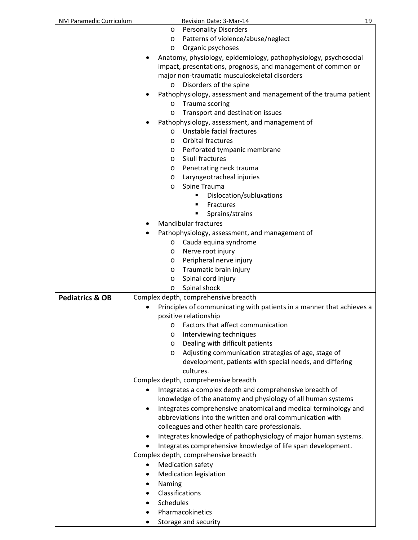| NM Paramedic Curriculum    | Revision Date: 3-Mar-14                                                      | 19 |
|----------------------------|------------------------------------------------------------------------------|----|
|                            | <b>Personality Disorders</b><br>O                                            |    |
|                            | Patterns of violence/abuse/neglect<br>O                                      |    |
|                            | Organic psychoses<br>O                                                       |    |
|                            | Anatomy, physiology, epidemiology, pathophysiology, psychosocial             |    |
|                            | impact, presentations, prognosis, and management of common or                |    |
|                            | major non-traumatic musculoskeletal disorders                                |    |
|                            | Disorders of the spine<br>O                                                  |    |
|                            | Pathophysiology, assessment and management of the trauma patient             |    |
|                            | Trauma scoring<br>$\circ$                                                    |    |
|                            | Transport and destination issues<br>O                                        |    |
|                            | Pathophysiology, assessment, and management of                               |    |
|                            | Unstable facial fractures<br>$\circ$                                         |    |
|                            | Orbital fractures<br>O                                                       |    |
|                            |                                                                              |    |
|                            | Perforated tympanic membrane<br>$\circ$<br>Skull fractures                   |    |
|                            | O                                                                            |    |
|                            | Penetrating neck trauma<br>O                                                 |    |
|                            | Laryngeotracheal injuries<br>O                                               |    |
|                            | Spine Trauma<br>O                                                            |    |
|                            | Dislocation/subluxations<br>٠                                                |    |
|                            | <b>Fractures</b>                                                             |    |
|                            | Sprains/strains                                                              |    |
|                            | <b>Mandibular fractures</b>                                                  |    |
|                            | Pathophysiology, assessment, and management of                               |    |
|                            | Cauda equina syndrome<br>$\circ$                                             |    |
|                            | Nerve root injury<br>O                                                       |    |
|                            | Peripheral nerve injury<br>O                                                 |    |
|                            | Traumatic brain injury<br>O                                                  |    |
|                            | Spinal cord injury<br>O                                                      |    |
|                            | Spinal shock<br>O                                                            |    |
| <b>Pediatrics &amp; OB</b> | Complex depth, comprehensive breadth                                         |    |
|                            | Principles of communicating with patients in a manner that achieves a        |    |
|                            | positive relationship                                                        |    |
|                            | Factors that affect communication<br>O                                       |    |
|                            | Interviewing techniques<br>$\circ$                                           |    |
|                            | Dealing with difficult patients<br>O                                         |    |
|                            | Adjusting communication strategies of age, stage of<br>O                     |    |
|                            | development, patients with special needs, and differing                      |    |
|                            | cultures.                                                                    |    |
|                            | Complex depth, comprehensive breadth                                         |    |
|                            | Integrates a complex depth and comprehensive breadth of<br>٠                 |    |
|                            | knowledge of the anatomy and physiology of all human systems                 |    |
|                            | Integrates comprehensive anatomical and medical terminology and<br>$\bullet$ |    |
|                            | abbreviations into the written and oral communication with                   |    |
|                            | colleagues and other health care professionals.                              |    |
|                            | Integrates knowledge of pathophysiology of major human systems.<br>$\bullet$ |    |
|                            | Integrates comprehensive knowledge of life span development.<br>$\bullet$    |    |
|                            | Complex depth, comprehensive breadth                                         |    |
|                            | <b>Medication safety</b><br>٠                                                |    |
|                            | <b>Medication legislation</b><br>$\bullet$                                   |    |
|                            | Naming<br>٠                                                                  |    |
|                            | Classifications<br>٠                                                         |    |
|                            | Schedules                                                                    |    |
|                            | Pharmacokinetics                                                             |    |
|                            |                                                                              |    |
|                            | Storage and security                                                         |    |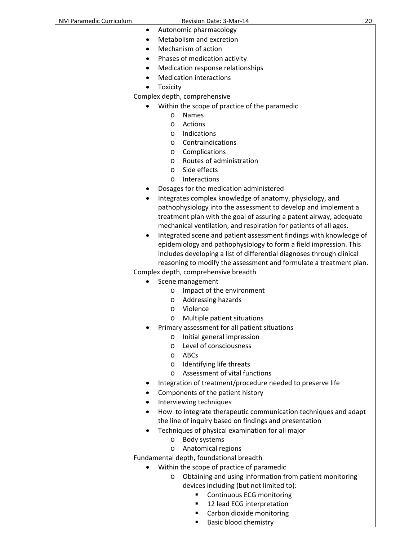| NM Paramedic Curriculum | Revision Date: 3-Mar-14                                                                                                   | 20 |
|-------------------------|---------------------------------------------------------------------------------------------------------------------------|----|
|                         | Autonomic pharmacology<br>٠                                                                                               |    |
|                         | Metabolism and excretion                                                                                                  |    |
|                         | Mechanism of action                                                                                                       |    |
|                         | Phases of medication activity<br>٠                                                                                        |    |
|                         | Medication response relationships                                                                                         |    |
|                         | <b>Medication interactions</b>                                                                                            |    |
|                         | Toxicity                                                                                                                  |    |
|                         | Complex depth, comprehensive                                                                                              |    |
|                         | Within the scope of practice of the paramedic                                                                             |    |
|                         | <b>Names</b><br>$\circ$                                                                                                   |    |
|                         | Actions<br>$\circ$                                                                                                        |    |
|                         | Indications<br>$\circ$                                                                                                    |    |
|                         | Contraindications<br>$\circ$                                                                                              |    |
|                         | Complications<br>$\circ$                                                                                                  |    |
|                         | Routes of administration<br>$\circ$                                                                                       |    |
|                         | Side effects<br>O                                                                                                         |    |
|                         | Interactions<br>O                                                                                                         |    |
|                         | Dosages for the medication administered                                                                                   |    |
|                         | Integrates complex knowledge of anatomy, physiology, and                                                                  |    |
|                         | pathophysiology into the assessment to develop and implement a                                                            |    |
|                         | treatment plan with the goal of assuring a patent airway, adequate                                                        |    |
|                         | mechanical ventilation, and respiration for patients of all ages.                                                         |    |
|                         | Integrated scene and patient assessment findings with knowledge of                                                        |    |
|                         | epidemiology and pathophysiology to form a field impression. This                                                         |    |
|                         | includes developing a list of differential diagnoses through clinical                                                     |    |
|                         | reasoning to modify the assessment and formulate a treatment plan.                                                        |    |
|                         | Complex depth, comprehensive breadth                                                                                      |    |
|                         | Scene management                                                                                                          |    |
|                         | Impact of the environment<br>$\circ$                                                                                      |    |
|                         | Addressing hazards<br>$\circ$                                                                                             |    |
|                         | Violence<br>O                                                                                                             |    |
|                         | Multiple patient situations<br>O                                                                                          |    |
|                         | Primary assessment for all patient situations                                                                             |    |
|                         | Initial general impression<br>$\circ$                                                                                     |    |
|                         | Level of consciousness<br>O                                                                                               |    |
|                         | ABCs<br>$\circ$                                                                                                           |    |
|                         | Identifying life threats<br>$\circ$                                                                                       |    |
|                         | Assessment of vital functions<br>$\circ$                                                                                  |    |
|                         | Integration of treatment/procedure needed to preserve life                                                                |    |
|                         | Components of the patient history                                                                                         |    |
|                         | Interviewing techniques                                                                                                   |    |
|                         |                                                                                                                           |    |
|                         | How to integrate therapeutic communication techniques and adapt<br>the line of inquiry based on findings and presentation |    |
|                         | Techniques of physical examination for all major                                                                          |    |
|                         |                                                                                                                           |    |
|                         | Body systems<br>O<br>Anatomical regions                                                                                   |    |
|                         | O<br>Fundamental depth, foundational breadth                                                                              |    |
|                         | Within the scope of practice of paramedic                                                                                 |    |
|                         | Obtaining and using information from patient monitoring                                                                   |    |
|                         | O                                                                                                                         |    |
|                         | devices including (but not limited to):<br>п                                                                              |    |
|                         | Continuous ECG monitoring<br>12 lead ECG interpretation<br>٠                                                              |    |
|                         | Carbon dioxide monitoring<br>٠                                                                                            |    |
|                         | Basic blood chemistry<br>٠                                                                                                |    |
|                         |                                                                                                                           |    |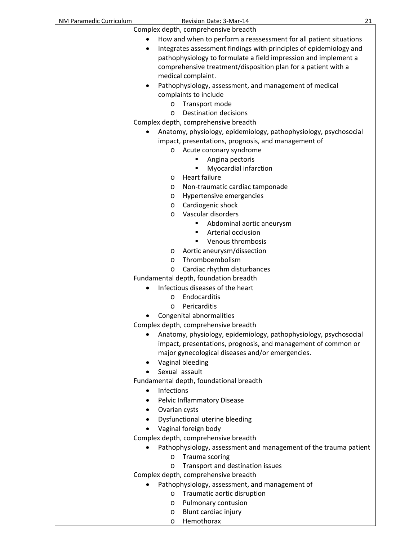| NM Paramedic Curriculum | Revision Date: 3-Mar-14                                                 | 21 |
|-------------------------|-------------------------------------------------------------------------|----|
|                         | Complex depth, comprehensive breadth                                    |    |
|                         | How and when to perform a reassessment for all patient situations       |    |
|                         | Integrates assessment findings with principles of epidemiology and<br>٠ |    |
|                         | pathophysiology to formulate a field impression and implement a         |    |
|                         | comprehensive treatment/disposition plan for a patient with a           |    |
|                         | medical complaint.                                                      |    |
|                         | Pathophysiology, assessment, and management of medical<br>٠             |    |
|                         | complaints to include                                                   |    |
|                         | Transport mode<br>$\circ$                                               |    |
|                         | <b>Destination decisions</b><br>$\circ$                                 |    |
|                         | Complex depth, comprehensive breadth                                    |    |
|                         | Anatomy, physiology, epidemiology, pathophysiology, psychosocial        |    |
|                         | impact, presentations, prognosis, and management of                     |    |
|                         | Acute coronary syndrome<br>$\circ$                                      |    |
|                         | Angina pectoris                                                         |    |
|                         | Myocardial infarction                                                   |    |
|                         | Heart failure<br>O                                                      |    |
|                         | Non-traumatic cardiac tamponade<br>O                                    |    |
|                         | Hypertensive emergencies<br>O                                           |    |
|                         | Cardiogenic shock<br>O                                                  |    |
|                         | Vascular disorders<br>O                                                 |    |
|                         | Abdominal aortic aneurysm<br>٠                                          |    |
|                         | Arterial occlusion<br>٠                                                 |    |
|                         | Venous thrombosis                                                       |    |
|                         | Aortic aneurysm/dissection<br>O                                         |    |
|                         | Thromboembolism<br>O                                                    |    |
|                         | Cardiac rhythm disturbances<br>O                                        |    |
|                         | Fundamental depth, foundation breadth                                   |    |
|                         | Infectious diseases of the heart                                        |    |
|                         | Endocarditis<br>O                                                       |    |
|                         | Pericarditis<br>$\circ$                                                 |    |
|                         | Congenital abnormalities                                                |    |
|                         | Complex depth, comprehensive breadth                                    |    |
|                         | Anatomy, physiology, epidemiology, pathophysiology, psychosocial        |    |
|                         | impact, presentations, prognosis, and management of common or           |    |
|                         | major gynecological diseases and/or emergencies.                        |    |
|                         | Vaginal bleeding                                                        |    |
|                         | Sexual assault                                                          |    |
|                         | Fundamental depth, foundational breadth                                 |    |
|                         | Infections<br>٠                                                         |    |
|                         | Pelvic Inflammatory Disease                                             |    |
|                         | Ovarian cysts                                                           |    |
|                         | Dysfunctional uterine bleeding<br>٠                                     |    |
|                         | Vaginal foreign body                                                    |    |
|                         | Complex depth, comprehensive breadth                                    |    |
|                         | Pathophysiology, assessment and management of the trauma patient        |    |
|                         | Trauma scoring<br>O                                                     |    |
|                         | Transport and destination issues<br>O                                   |    |
|                         | Complex depth, comprehensive breadth                                    |    |
|                         | Pathophysiology, assessment, and management of                          |    |
|                         | Traumatic aortic disruption<br>O                                        |    |
|                         | Pulmonary contusion<br>O                                                |    |
|                         | Blunt cardiac injury<br>O                                               |    |
|                         | Hemothorax<br>O                                                         |    |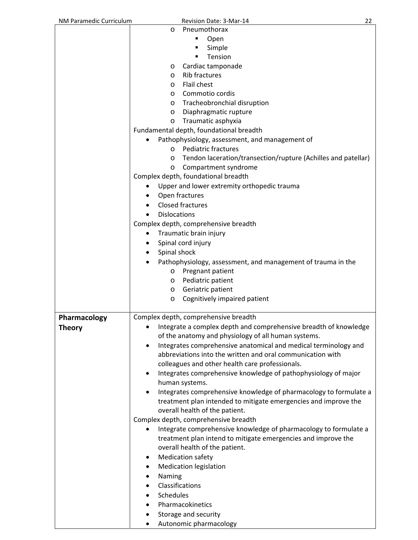| NM Paramedic Curriculum | Revision Date: 3-Mar-14                                           | 22 |
|-------------------------|-------------------------------------------------------------------|----|
| $\circ$                 | Pneumothorax                                                      |    |
|                         | ٠<br>Open                                                         |    |
|                         | Simple<br>٠                                                       |    |
|                         | Tension<br>٠                                                      |    |
| $\circ$                 | Cardiac tamponade                                                 |    |
| $\circ$                 | Rib fractures                                                     |    |
| $\circ$                 | <b>Flail chest</b>                                                |    |
| $\circ$                 | Commotio cordis                                                   |    |
| $\circ$                 | Tracheobronchial disruption                                       |    |
| $\circ$                 | Diaphragmatic rupture                                             |    |
| $\circ$                 | Traumatic asphyxia                                                |    |
|                         | Fundamental depth, foundational breadth                           |    |
|                         | Pathophysiology, assessment, and management of                    |    |
| $\Omega$                | <b>Pediatric fractures</b>                                        |    |
| $\circ$                 | Tendon laceration/transection/rupture (Achilles and patellar)     |    |
| $\circ$                 | Compartment syndrome                                              |    |
|                         | Complex depth, foundational breadth                               |    |
| $\bullet$               | Upper and lower extremity orthopedic trauma                       |    |
|                         | Open fractures                                                    |    |
|                         | <b>Closed fractures</b>                                           |    |
|                         | <b>Dislocations</b>                                               |    |
|                         | Complex depth, comprehensive breadth                              |    |
| $\bullet$               | Traumatic brain injury                                            |    |
| ٠                       | Spinal cord injury                                                |    |
|                         | Spinal shock                                                      |    |
|                         | Pathophysiology, assessment, and management of trauma in the      |    |
| $\circ$                 | Pregnant patient                                                  |    |
| $\circ$                 | Pediatric patient                                                 |    |
| $\circ$                 | Geriatric patient                                                 |    |
| $\circ$                 | Cognitively impaired patient                                      |    |
| Pharmacology            | Complex depth, comprehensive breadth                              |    |
| <b>Theory</b>           | Integrate a complex depth and comprehensive breadth of knowledge  |    |
|                         | of the anatomy and physiology of all human systems.               |    |
| $\bullet$               | Integrates comprehensive anatomical and medical terminology and   |    |
|                         | abbreviations into the written and oral communication with        |    |
|                         | colleagues and other health care professionals.                   |    |
| $\bullet$               | Integrates comprehensive knowledge of pathophysiology of major    |    |
|                         | human systems.                                                    |    |
| $\bullet$               | Integrates comprehensive knowledge of pharmacology to formulate a |    |
|                         | treatment plan intended to mitigate emergencies and improve the   |    |
|                         | overall health of the patient.                                    |    |
|                         | Complex depth, comprehensive breadth                              |    |
|                         | Integrate comprehensive knowledge of pharmacology to formulate a  |    |
|                         | treatment plan intend to mitigate emergencies and improve the     |    |
|                         | overall health of the patient.                                    |    |
| ٠                       | <b>Medication safety</b>                                          |    |
| ٠                       | <b>Medication legislation</b>                                     |    |
| Naming<br>٠             |                                                                   |    |
| ٠                       | Classifications                                                   |    |
| Schedules               |                                                                   |    |
|                         | Pharmacokinetics                                                  |    |
| ٠                       | Storage and security                                              |    |
| ٠                       | Autonomic pharmacology                                            |    |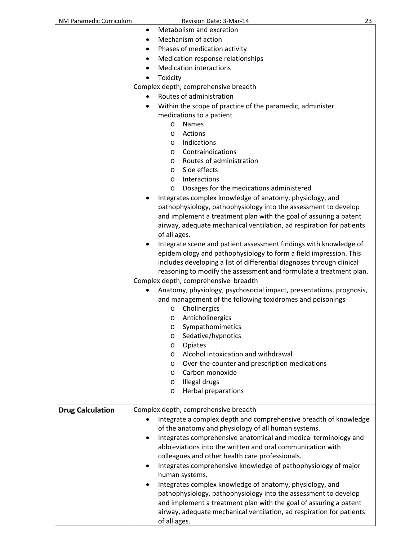| Metabolism and excretion<br>٠<br>Mechanism of action<br>$\bullet$<br>Phases of medication activity<br>٠<br>Medication response relationships<br><b>Medication interactions</b><br>Toxicity<br>Complex depth, comprehensive breadth<br>Routes of administration<br>Within the scope of practice of the paramedic, administer<br>medications to a patient<br>Names<br>$\circ$<br>Actions<br>$\circ$<br>Indications<br>$\circ$<br>Contraindications<br>$\circ$<br>Routes of administration<br>$\circ$<br>Side effects<br>$\circ$<br>Interactions<br>$\circ$<br>Dosages for the medications administered<br>O<br>Integrates complex knowledge of anatomy, physiology, and<br>pathophysiology, pathophysiology into the assessment to develop<br>and implement a treatment plan with the goal of assuring a patent<br>airway, adequate mechanical ventilation, ad respiration for patients<br>of all ages.<br>Integrate scene and patient assessment findings with knowledge of<br>epidemiology and pathophysiology to form a field impression. This<br>includes developing a list of differential diagnoses through clinical<br>reasoning to modify the assessment and formulate a treatment plan.<br>Complex depth, comprehensive breadth<br>Anatomy, physiology, psychosocial impact, presentations, prognosis,<br>and management of the following toxidromes and poisonings<br>Cholinergics<br>$\circ$<br>Anticholinergics<br>O<br>Sympathomimetics<br>O<br>Sedative/hypnotics<br>O<br>Opiates<br>O<br>Alcohol intoxication and withdrawal<br>$\circ$<br>Over-the-counter and prescription medications<br>O<br>Carbon monoxide<br>$\circ$<br>Illegal drugs<br>$\circ$<br><b>Herbal preparations</b><br>$\circ$<br>Complex depth, comprehensive breadth<br><b>Drug Calculation</b><br>Integrate a complex depth and comprehensive breadth of knowledge<br>of the anatomy and physiology of all human systems.<br>Integrates comprehensive anatomical and medical terminology and<br>abbreviations into the written and oral communication with<br>colleagues and other health care professionals.<br>Integrates comprehensive knowledge of pathophysiology of major<br>human systems.<br>Integrates complex knowledge of anatomy, physiology, and<br>pathophysiology, pathophysiology into the assessment to develop<br>and implement a treatment plan with the goal of assuring a patent<br>airway, adequate mechanical ventilation, ad respiration for patients | NM Paramedic Curriculum | Revision Date: 3-Mar-14 | 23 |
|-----------------------------------------------------------------------------------------------------------------------------------------------------------------------------------------------------------------------------------------------------------------------------------------------------------------------------------------------------------------------------------------------------------------------------------------------------------------------------------------------------------------------------------------------------------------------------------------------------------------------------------------------------------------------------------------------------------------------------------------------------------------------------------------------------------------------------------------------------------------------------------------------------------------------------------------------------------------------------------------------------------------------------------------------------------------------------------------------------------------------------------------------------------------------------------------------------------------------------------------------------------------------------------------------------------------------------------------------------------------------------------------------------------------------------------------------------------------------------------------------------------------------------------------------------------------------------------------------------------------------------------------------------------------------------------------------------------------------------------------------------------------------------------------------------------------------------------------------------------------------------------------------------------------------------------------------------------------------------------------------------------------------------------------------------------------------------------------------------------------------------------------------------------------------------------------------------------------------------------------------------------------------------------------------------------------------------------------------------------------------------------------------------------------------------------------------------------------|-------------------------|-------------------------|----|
|                                                                                                                                                                                                                                                                                                                                                                                                                                                                                                                                                                                                                                                                                                                                                                                                                                                                                                                                                                                                                                                                                                                                                                                                                                                                                                                                                                                                                                                                                                                                                                                                                                                                                                                                                                                                                                                                                                                                                                                                                                                                                                                                                                                                                                                                                                                                                                                                                                                                 |                         |                         |    |
|                                                                                                                                                                                                                                                                                                                                                                                                                                                                                                                                                                                                                                                                                                                                                                                                                                                                                                                                                                                                                                                                                                                                                                                                                                                                                                                                                                                                                                                                                                                                                                                                                                                                                                                                                                                                                                                                                                                                                                                                                                                                                                                                                                                                                                                                                                                                                                                                                                                                 |                         |                         |    |
|                                                                                                                                                                                                                                                                                                                                                                                                                                                                                                                                                                                                                                                                                                                                                                                                                                                                                                                                                                                                                                                                                                                                                                                                                                                                                                                                                                                                                                                                                                                                                                                                                                                                                                                                                                                                                                                                                                                                                                                                                                                                                                                                                                                                                                                                                                                                                                                                                                                                 |                         |                         |    |
|                                                                                                                                                                                                                                                                                                                                                                                                                                                                                                                                                                                                                                                                                                                                                                                                                                                                                                                                                                                                                                                                                                                                                                                                                                                                                                                                                                                                                                                                                                                                                                                                                                                                                                                                                                                                                                                                                                                                                                                                                                                                                                                                                                                                                                                                                                                                                                                                                                                                 |                         |                         |    |
|                                                                                                                                                                                                                                                                                                                                                                                                                                                                                                                                                                                                                                                                                                                                                                                                                                                                                                                                                                                                                                                                                                                                                                                                                                                                                                                                                                                                                                                                                                                                                                                                                                                                                                                                                                                                                                                                                                                                                                                                                                                                                                                                                                                                                                                                                                                                                                                                                                                                 |                         |                         |    |
|                                                                                                                                                                                                                                                                                                                                                                                                                                                                                                                                                                                                                                                                                                                                                                                                                                                                                                                                                                                                                                                                                                                                                                                                                                                                                                                                                                                                                                                                                                                                                                                                                                                                                                                                                                                                                                                                                                                                                                                                                                                                                                                                                                                                                                                                                                                                                                                                                                                                 |                         |                         |    |
|                                                                                                                                                                                                                                                                                                                                                                                                                                                                                                                                                                                                                                                                                                                                                                                                                                                                                                                                                                                                                                                                                                                                                                                                                                                                                                                                                                                                                                                                                                                                                                                                                                                                                                                                                                                                                                                                                                                                                                                                                                                                                                                                                                                                                                                                                                                                                                                                                                                                 |                         |                         |    |
|                                                                                                                                                                                                                                                                                                                                                                                                                                                                                                                                                                                                                                                                                                                                                                                                                                                                                                                                                                                                                                                                                                                                                                                                                                                                                                                                                                                                                                                                                                                                                                                                                                                                                                                                                                                                                                                                                                                                                                                                                                                                                                                                                                                                                                                                                                                                                                                                                                                                 |                         |                         |    |
|                                                                                                                                                                                                                                                                                                                                                                                                                                                                                                                                                                                                                                                                                                                                                                                                                                                                                                                                                                                                                                                                                                                                                                                                                                                                                                                                                                                                                                                                                                                                                                                                                                                                                                                                                                                                                                                                                                                                                                                                                                                                                                                                                                                                                                                                                                                                                                                                                                                                 |                         |                         |    |
|                                                                                                                                                                                                                                                                                                                                                                                                                                                                                                                                                                                                                                                                                                                                                                                                                                                                                                                                                                                                                                                                                                                                                                                                                                                                                                                                                                                                                                                                                                                                                                                                                                                                                                                                                                                                                                                                                                                                                                                                                                                                                                                                                                                                                                                                                                                                                                                                                                                                 |                         |                         |    |
|                                                                                                                                                                                                                                                                                                                                                                                                                                                                                                                                                                                                                                                                                                                                                                                                                                                                                                                                                                                                                                                                                                                                                                                                                                                                                                                                                                                                                                                                                                                                                                                                                                                                                                                                                                                                                                                                                                                                                                                                                                                                                                                                                                                                                                                                                                                                                                                                                                                                 |                         |                         |    |
|                                                                                                                                                                                                                                                                                                                                                                                                                                                                                                                                                                                                                                                                                                                                                                                                                                                                                                                                                                                                                                                                                                                                                                                                                                                                                                                                                                                                                                                                                                                                                                                                                                                                                                                                                                                                                                                                                                                                                                                                                                                                                                                                                                                                                                                                                                                                                                                                                                                                 |                         |                         |    |
|                                                                                                                                                                                                                                                                                                                                                                                                                                                                                                                                                                                                                                                                                                                                                                                                                                                                                                                                                                                                                                                                                                                                                                                                                                                                                                                                                                                                                                                                                                                                                                                                                                                                                                                                                                                                                                                                                                                                                                                                                                                                                                                                                                                                                                                                                                                                                                                                                                                                 |                         |                         |    |
|                                                                                                                                                                                                                                                                                                                                                                                                                                                                                                                                                                                                                                                                                                                                                                                                                                                                                                                                                                                                                                                                                                                                                                                                                                                                                                                                                                                                                                                                                                                                                                                                                                                                                                                                                                                                                                                                                                                                                                                                                                                                                                                                                                                                                                                                                                                                                                                                                                                                 |                         |                         |    |
|                                                                                                                                                                                                                                                                                                                                                                                                                                                                                                                                                                                                                                                                                                                                                                                                                                                                                                                                                                                                                                                                                                                                                                                                                                                                                                                                                                                                                                                                                                                                                                                                                                                                                                                                                                                                                                                                                                                                                                                                                                                                                                                                                                                                                                                                                                                                                                                                                                                                 |                         |                         |    |
|                                                                                                                                                                                                                                                                                                                                                                                                                                                                                                                                                                                                                                                                                                                                                                                                                                                                                                                                                                                                                                                                                                                                                                                                                                                                                                                                                                                                                                                                                                                                                                                                                                                                                                                                                                                                                                                                                                                                                                                                                                                                                                                                                                                                                                                                                                                                                                                                                                                                 |                         |                         |    |
|                                                                                                                                                                                                                                                                                                                                                                                                                                                                                                                                                                                                                                                                                                                                                                                                                                                                                                                                                                                                                                                                                                                                                                                                                                                                                                                                                                                                                                                                                                                                                                                                                                                                                                                                                                                                                                                                                                                                                                                                                                                                                                                                                                                                                                                                                                                                                                                                                                                                 |                         |                         |    |
|                                                                                                                                                                                                                                                                                                                                                                                                                                                                                                                                                                                                                                                                                                                                                                                                                                                                                                                                                                                                                                                                                                                                                                                                                                                                                                                                                                                                                                                                                                                                                                                                                                                                                                                                                                                                                                                                                                                                                                                                                                                                                                                                                                                                                                                                                                                                                                                                                                                                 |                         |                         |    |
|                                                                                                                                                                                                                                                                                                                                                                                                                                                                                                                                                                                                                                                                                                                                                                                                                                                                                                                                                                                                                                                                                                                                                                                                                                                                                                                                                                                                                                                                                                                                                                                                                                                                                                                                                                                                                                                                                                                                                                                                                                                                                                                                                                                                                                                                                                                                                                                                                                                                 |                         |                         |    |
|                                                                                                                                                                                                                                                                                                                                                                                                                                                                                                                                                                                                                                                                                                                                                                                                                                                                                                                                                                                                                                                                                                                                                                                                                                                                                                                                                                                                                                                                                                                                                                                                                                                                                                                                                                                                                                                                                                                                                                                                                                                                                                                                                                                                                                                                                                                                                                                                                                                                 |                         |                         |    |
|                                                                                                                                                                                                                                                                                                                                                                                                                                                                                                                                                                                                                                                                                                                                                                                                                                                                                                                                                                                                                                                                                                                                                                                                                                                                                                                                                                                                                                                                                                                                                                                                                                                                                                                                                                                                                                                                                                                                                                                                                                                                                                                                                                                                                                                                                                                                                                                                                                                                 |                         |                         |    |
|                                                                                                                                                                                                                                                                                                                                                                                                                                                                                                                                                                                                                                                                                                                                                                                                                                                                                                                                                                                                                                                                                                                                                                                                                                                                                                                                                                                                                                                                                                                                                                                                                                                                                                                                                                                                                                                                                                                                                                                                                                                                                                                                                                                                                                                                                                                                                                                                                                                                 |                         |                         |    |
|                                                                                                                                                                                                                                                                                                                                                                                                                                                                                                                                                                                                                                                                                                                                                                                                                                                                                                                                                                                                                                                                                                                                                                                                                                                                                                                                                                                                                                                                                                                                                                                                                                                                                                                                                                                                                                                                                                                                                                                                                                                                                                                                                                                                                                                                                                                                                                                                                                                                 |                         |                         |    |
|                                                                                                                                                                                                                                                                                                                                                                                                                                                                                                                                                                                                                                                                                                                                                                                                                                                                                                                                                                                                                                                                                                                                                                                                                                                                                                                                                                                                                                                                                                                                                                                                                                                                                                                                                                                                                                                                                                                                                                                                                                                                                                                                                                                                                                                                                                                                                                                                                                                                 |                         |                         |    |
|                                                                                                                                                                                                                                                                                                                                                                                                                                                                                                                                                                                                                                                                                                                                                                                                                                                                                                                                                                                                                                                                                                                                                                                                                                                                                                                                                                                                                                                                                                                                                                                                                                                                                                                                                                                                                                                                                                                                                                                                                                                                                                                                                                                                                                                                                                                                                                                                                                                                 |                         |                         |    |
|                                                                                                                                                                                                                                                                                                                                                                                                                                                                                                                                                                                                                                                                                                                                                                                                                                                                                                                                                                                                                                                                                                                                                                                                                                                                                                                                                                                                                                                                                                                                                                                                                                                                                                                                                                                                                                                                                                                                                                                                                                                                                                                                                                                                                                                                                                                                                                                                                                                                 |                         |                         |    |
|                                                                                                                                                                                                                                                                                                                                                                                                                                                                                                                                                                                                                                                                                                                                                                                                                                                                                                                                                                                                                                                                                                                                                                                                                                                                                                                                                                                                                                                                                                                                                                                                                                                                                                                                                                                                                                                                                                                                                                                                                                                                                                                                                                                                                                                                                                                                                                                                                                                                 |                         |                         |    |
|                                                                                                                                                                                                                                                                                                                                                                                                                                                                                                                                                                                                                                                                                                                                                                                                                                                                                                                                                                                                                                                                                                                                                                                                                                                                                                                                                                                                                                                                                                                                                                                                                                                                                                                                                                                                                                                                                                                                                                                                                                                                                                                                                                                                                                                                                                                                                                                                                                                                 |                         |                         |    |
|                                                                                                                                                                                                                                                                                                                                                                                                                                                                                                                                                                                                                                                                                                                                                                                                                                                                                                                                                                                                                                                                                                                                                                                                                                                                                                                                                                                                                                                                                                                                                                                                                                                                                                                                                                                                                                                                                                                                                                                                                                                                                                                                                                                                                                                                                                                                                                                                                                                                 |                         |                         |    |
|                                                                                                                                                                                                                                                                                                                                                                                                                                                                                                                                                                                                                                                                                                                                                                                                                                                                                                                                                                                                                                                                                                                                                                                                                                                                                                                                                                                                                                                                                                                                                                                                                                                                                                                                                                                                                                                                                                                                                                                                                                                                                                                                                                                                                                                                                                                                                                                                                                                                 |                         |                         |    |
|                                                                                                                                                                                                                                                                                                                                                                                                                                                                                                                                                                                                                                                                                                                                                                                                                                                                                                                                                                                                                                                                                                                                                                                                                                                                                                                                                                                                                                                                                                                                                                                                                                                                                                                                                                                                                                                                                                                                                                                                                                                                                                                                                                                                                                                                                                                                                                                                                                                                 |                         |                         |    |
|                                                                                                                                                                                                                                                                                                                                                                                                                                                                                                                                                                                                                                                                                                                                                                                                                                                                                                                                                                                                                                                                                                                                                                                                                                                                                                                                                                                                                                                                                                                                                                                                                                                                                                                                                                                                                                                                                                                                                                                                                                                                                                                                                                                                                                                                                                                                                                                                                                                                 |                         |                         |    |
|                                                                                                                                                                                                                                                                                                                                                                                                                                                                                                                                                                                                                                                                                                                                                                                                                                                                                                                                                                                                                                                                                                                                                                                                                                                                                                                                                                                                                                                                                                                                                                                                                                                                                                                                                                                                                                                                                                                                                                                                                                                                                                                                                                                                                                                                                                                                                                                                                                                                 |                         |                         |    |
|                                                                                                                                                                                                                                                                                                                                                                                                                                                                                                                                                                                                                                                                                                                                                                                                                                                                                                                                                                                                                                                                                                                                                                                                                                                                                                                                                                                                                                                                                                                                                                                                                                                                                                                                                                                                                                                                                                                                                                                                                                                                                                                                                                                                                                                                                                                                                                                                                                                                 |                         |                         |    |
|                                                                                                                                                                                                                                                                                                                                                                                                                                                                                                                                                                                                                                                                                                                                                                                                                                                                                                                                                                                                                                                                                                                                                                                                                                                                                                                                                                                                                                                                                                                                                                                                                                                                                                                                                                                                                                                                                                                                                                                                                                                                                                                                                                                                                                                                                                                                                                                                                                                                 |                         |                         |    |
|                                                                                                                                                                                                                                                                                                                                                                                                                                                                                                                                                                                                                                                                                                                                                                                                                                                                                                                                                                                                                                                                                                                                                                                                                                                                                                                                                                                                                                                                                                                                                                                                                                                                                                                                                                                                                                                                                                                                                                                                                                                                                                                                                                                                                                                                                                                                                                                                                                                                 |                         |                         |    |
|                                                                                                                                                                                                                                                                                                                                                                                                                                                                                                                                                                                                                                                                                                                                                                                                                                                                                                                                                                                                                                                                                                                                                                                                                                                                                                                                                                                                                                                                                                                                                                                                                                                                                                                                                                                                                                                                                                                                                                                                                                                                                                                                                                                                                                                                                                                                                                                                                                                                 |                         |                         |    |
|                                                                                                                                                                                                                                                                                                                                                                                                                                                                                                                                                                                                                                                                                                                                                                                                                                                                                                                                                                                                                                                                                                                                                                                                                                                                                                                                                                                                                                                                                                                                                                                                                                                                                                                                                                                                                                                                                                                                                                                                                                                                                                                                                                                                                                                                                                                                                                                                                                                                 |                         |                         |    |
|                                                                                                                                                                                                                                                                                                                                                                                                                                                                                                                                                                                                                                                                                                                                                                                                                                                                                                                                                                                                                                                                                                                                                                                                                                                                                                                                                                                                                                                                                                                                                                                                                                                                                                                                                                                                                                                                                                                                                                                                                                                                                                                                                                                                                                                                                                                                                                                                                                                                 |                         |                         |    |
|                                                                                                                                                                                                                                                                                                                                                                                                                                                                                                                                                                                                                                                                                                                                                                                                                                                                                                                                                                                                                                                                                                                                                                                                                                                                                                                                                                                                                                                                                                                                                                                                                                                                                                                                                                                                                                                                                                                                                                                                                                                                                                                                                                                                                                                                                                                                                                                                                                                                 |                         |                         |    |
|                                                                                                                                                                                                                                                                                                                                                                                                                                                                                                                                                                                                                                                                                                                                                                                                                                                                                                                                                                                                                                                                                                                                                                                                                                                                                                                                                                                                                                                                                                                                                                                                                                                                                                                                                                                                                                                                                                                                                                                                                                                                                                                                                                                                                                                                                                                                                                                                                                                                 |                         |                         |    |
|                                                                                                                                                                                                                                                                                                                                                                                                                                                                                                                                                                                                                                                                                                                                                                                                                                                                                                                                                                                                                                                                                                                                                                                                                                                                                                                                                                                                                                                                                                                                                                                                                                                                                                                                                                                                                                                                                                                                                                                                                                                                                                                                                                                                                                                                                                                                                                                                                                                                 |                         |                         |    |
|                                                                                                                                                                                                                                                                                                                                                                                                                                                                                                                                                                                                                                                                                                                                                                                                                                                                                                                                                                                                                                                                                                                                                                                                                                                                                                                                                                                                                                                                                                                                                                                                                                                                                                                                                                                                                                                                                                                                                                                                                                                                                                                                                                                                                                                                                                                                                                                                                                                                 |                         |                         |    |
|                                                                                                                                                                                                                                                                                                                                                                                                                                                                                                                                                                                                                                                                                                                                                                                                                                                                                                                                                                                                                                                                                                                                                                                                                                                                                                                                                                                                                                                                                                                                                                                                                                                                                                                                                                                                                                                                                                                                                                                                                                                                                                                                                                                                                                                                                                                                                                                                                                                                 |                         |                         |    |
|                                                                                                                                                                                                                                                                                                                                                                                                                                                                                                                                                                                                                                                                                                                                                                                                                                                                                                                                                                                                                                                                                                                                                                                                                                                                                                                                                                                                                                                                                                                                                                                                                                                                                                                                                                                                                                                                                                                                                                                                                                                                                                                                                                                                                                                                                                                                                                                                                                                                 |                         |                         |    |
|                                                                                                                                                                                                                                                                                                                                                                                                                                                                                                                                                                                                                                                                                                                                                                                                                                                                                                                                                                                                                                                                                                                                                                                                                                                                                                                                                                                                                                                                                                                                                                                                                                                                                                                                                                                                                                                                                                                                                                                                                                                                                                                                                                                                                                                                                                                                                                                                                                                                 |                         |                         |    |
|                                                                                                                                                                                                                                                                                                                                                                                                                                                                                                                                                                                                                                                                                                                                                                                                                                                                                                                                                                                                                                                                                                                                                                                                                                                                                                                                                                                                                                                                                                                                                                                                                                                                                                                                                                                                                                                                                                                                                                                                                                                                                                                                                                                                                                                                                                                                                                                                                                                                 |                         |                         |    |
|                                                                                                                                                                                                                                                                                                                                                                                                                                                                                                                                                                                                                                                                                                                                                                                                                                                                                                                                                                                                                                                                                                                                                                                                                                                                                                                                                                                                                                                                                                                                                                                                                                                                                                                                                                                                                                                                                                                                                                                                                                                                                                                                                                                                                                                                                                                                                                                                                                                                 |                         |                         |    |
|                                                                                                                                                                                                                                                                                                                                                                                                                                                                                                                                                                                                                                                                                                                                                                                                                                                                                                                                                                                                                                                                                                                                                                                                                                                                                                                                                                                                                                                                                                                                                                                                                                                                                                                                                                                                                                                                                                                                                                                                                                                                                                                                                                                                                                                                                                                                                                                                                                                                 |                         |                         |    |
|                                                                                                                                                                                                                                                                                                                                                                                                                                                                                                                                                                                                                                                                                                                                                                                                                                                                                                                                                                                                                                                                                                                                                                                                                                                                                                                                                                                                                                                                                                                                                                                                                                                                                                                                                                                                                                                                                                                                                                                                                                                                                                                                                                                                                                                                                                                                                                                                                                                                 |                         |                         |    |
|                                                                                                                                                                                                                                                                                                                                                                                                                                                                                                                                                                                                                                                                                                                                                                                                                                                                                                                                                                                                                                                                                                                                                                                                                                                                                                                                                                                                                                                                                                                                                                                                                                                                                                                                                                                                                                                                                                                                                                                                                                                                                                                                                                                                                                                                                                                                                                                                                                                                 |                         |                         |    |
|                                                                                                                                                                                                                                                                                                                                                                                                                                                                                                                                                                                                                                                                                                                                                                                                                                                                                                                                                                                                                                                                                                                                                                                                                                                                                                                                                                                                                                                                                                                                                                                                                                                                                                                                                                                                                                                                                                                                                                                                                                                                                                                                                                                                                                                                                                                                                                                                                                                                 |                         |                         |    |
|                                                                                                                                                                                                                                                                                                                                                                                                                                                                                                                                                                                                                                                                                                                                                                                                                                                                                                                                                                                                                                                                                                                                                                                                                                                                                                                                                                                                                                                                                                                                                                                                                                                                                                                                                                                                                                                                                                                                                                                                                                                                                                                                                                                                                                                                                                                                                                                                                                                                 |                         |                         |    |
|                                                                                                                                                                                                                                                                                                                                                                                                                                                                                                                                                                                                                                                                                                                                                                                                                                                                                                                                                                                                                                                                                                                                                                                                                                                                                                                                                                                                                                                                                                                                                                                                                                                                                                                                                                                                                                                                                                                                                                                                                                                                                                                                                                                                                                                                                                                                                                                                                                                                 |                         |                         |    |
| of all ages.                                                                                                                                                                                                                                                                                                                                                                                                                                                                                                                                                                                                                                                                                                                                                                                                                                                                                                                                                                                                                                                                                                                                                                                                                                                                                                                                                                                                                                                                                                                                                                                                                                                                                                                                                                                                                                                                                                                                                                                                                                                                                                                                                                                                                                                                                                                                                                                                                                                    |                         |                         |    |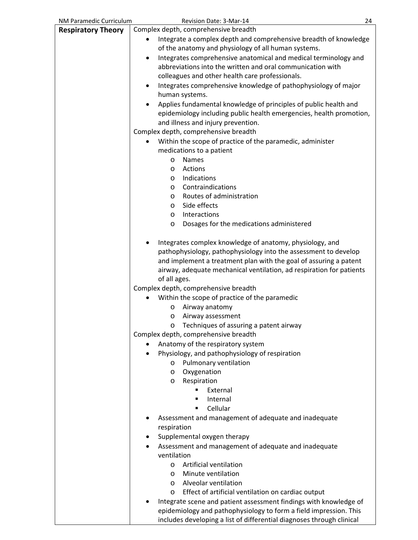| NM Paramedic Curriculum   | Revision Date: 3-Mar-14                                               | 24 |
|---------------------------|-----------------------------------------------------------------------|----|
| <b>Respiratory Theory</b> | Complex depth, comprehensive breadth                                  |    |
|                           | Integrate a complex depth and comprehensive breadth of knowledge      |    |
|                           | of the anatomy and physiology of all human systems.                   |    |
|                           | Integrates comprehensive anatomical and medical terminology and       |    |
|                           | abbreviations into the written and oral communication with            |    |
|                           | colleagues and other health care professionals.                       |    |
|                           | Integrates comprehensive knowledge of pathophysiology of major        |    |
|                           | human systems.                                                        |    |
|                           | Applies fundamental knowledge of principles of public health and      |    |
|                           |                                                                       |    |
|                           | epidemiology including public health emergencies, health promotion,   |    |
|                           | and illness and injury prevention.                                    |    |
|                           | Complex depth, comprehensive breadth                                  |    |
|                           | Within the scope of practice of the paramedic, administer             |    |
|                           | medications to a patient                                              |    |
|                           | <b>Names</b><br>$\circ$                                               |    |
|                           | Actions<br>$\circ$                                                    |    |
|                           | Indications<br>$\circ$                                                |    |
|                           | Contraindications<br>$\circ$                                          |    |
|                           | Routes of administration<br>$\circ$                                   |    |
|                           | Side effects<br>$\circ$                                               |    |
|                           | Interactions<br>$\circ$                                               |    |
|                           | Dosages for the medications administered<br>$\circ$                   |    |
|                           | Integrates complex knowledge of anatomy, physiology, and              |    |
|                           | pathophysiology, pathophysiology into the assessment to develop       |    |
|                           | and implement a treatment plan with the goal of assuring a patent     |    |
|                           | airway, adequate mechanical ventilation, ad respiration for patients  |    |
|                           | of all ages.                                                          |    |
|                           | Complex depth, comprehensive breadth                                  |    |
|                           | Within the scope of practice of the paramedic                         |    |
|                           | Airway anatomy<br>O                                                   |    |
|                           | Airway assessment<br>O                                                |    |
|                           | Techniques of assuring a patent airway<br>O                           |    |
|                           | Complex depth, comprehensive breadth                                  |    |
|                           | Anatomy of the respiratory system                                     |    |
|                           |                                                                       |    |
|                           | Physiology, and pathophysiology of respiration                        |    |
|                           | Pulmonary ventilation<br>$\circ$                                      |    |
|                           | Oxygenation<br>$\circ$                                                |    |
|                           | Respiration<br>$\circ$                                                |    |
|                           | External<br>٠<br>٠                                                    |    |
|                           | Internal<br>Cellular<br>٠                                             |    |
|                           |                                                                       |    |
|                           | Assessment and management of adequate and inadequate                  |    |
|                           | respiration                                                           |    |
|                           | Supplemental oxygen therapy                                           |    |
|                           | Assessment and management of adequate and inadequate                  |    |
|                           | ventilation                                                           |    |
|                           | Artificial ventilation<br>$\circ$                                     |    |
|                           | Minute ventilation<br>$\circ$                                         |    |
|                           | Alveolar ventilation<br>$\circ$                                       |    |
|                           | Effect of artificial ventilation on cardiac output<br>$\circ$         |    |
|                           | Integrate scene and patient assessment findings with knowledge of     |    |
|                           | epidemiology and pathophysiology to form a field impression. This     |    |
|                           | includes developing a list of differential diagnoses through clinical |    |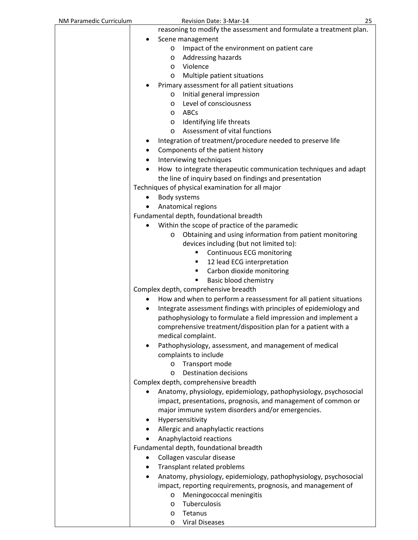| NM Paramedic Curriculum | Revision Date: 3-Mar-14                                                         | 25 |
|-------------------------|---------------------------------------------------------------------------------|----|
|                         | reasoning to modify the assessment and formulate a treatment plan.              |    |
|                         | Scene management                                                                |    |
|                         | Impact of the environment on patient care<br>O                                  |    |
|                         | Addressing hazards<br>O                                                         |    |
|                         | Violence<br>$\circ$                                                             |    |
|                         | Multiple patient situations<br>$\circ$                                          |    |
|                         | Primary assessment for all patient situations                                   |    |
|                         | Initial general impression<br>$\circ$                                           |    |
|                         | Level of consciousness<br>$\circ$                                               |    |
|                         | ABCs<br>$\circ$                                                                 |    |
|                         | Identifying life threats<br>$\circ$                                             |    |
|                         | Assessment of vital functions<br>$\circ$                                        |    |
|                         | Integration of treatment/procedure needed to preserve life                      |    |
|                         | Components of the patient history                                               |    |
|                         | Interviewing techniques                                                         |    |
|                         | How to integrate therapeutic communication techniques and adapt                 |    |
|                         | the line of inquiry based on findings and presentation                          |    |
|                         | Techniques of physical examination for all major<br>Body systems                |    |
|                         | Anatomical regions                                                              |    |
|                         | Fundamental depth, foundational breadth                                         |    |
|                         | Within the scope of practice of the paramedic                                   |    |
|                         | Obtaining and using information from patient monitoring<br>O                    |    |
|                         | devices including (but not limited to):                                         |    |
|                         | Continuous ECG monitoring<br>٠                                                  |    |
|                         | 12 lead ECG interpretation<br>٠                                                 |    |
|                         | Carbon dioxide monitoring<br>٠                                                  |    |
|                         | Basic blood chemistry<br>٠                                                      |    |
|                         | Complex depth, comprehensive breadth                                            |    |
|                         | How and when to perform a reassessment for all patient situations               |    |
|                         | Integrate assessment findings with principles of epidemiology and               |    |
|                         | pathophysiology to formulate a field impression and implement a                 |    |
|                         | comprehensive treatment/disposition plan for a patient with a                   |    |
|                         | medical complaint.                                                              |    |
|                         | Pathophysiology, assessment, and management of medical                          |    |
|                         | complaints to include                                                           |    |
|                         | Transport mode<br>$\circ$                                                       |    |
|                         | <b>Destination decisions</b><br>$\circ$<br>Complex depth, comprehensive breadth |    |
|                         | Anatomy, physiology, epidemiology, pathophysiology, psychosocial                |    |
|                         | impact, presentations, prognosis, and management of common or                   |    |
|                         | major immune system disorders and/or emergencies.                               |    |
|                         | Hypersensitivity                                                                |    |
|                         | Allergic and anaphylactic reactions                                             |    |
|                         | Anaphylactoid reactions                                                         |    |
|                         | Fundamental depth, foundational breadth                                         |    |
|                         | Collagen vascular disease                                                       |    |
| ٠                       | Transplant related problems                                                     |    |
|                         | Anatomy, physiology, epidemiology, pathophysiology, psychosocial                |    |
|                         | impact, reporting requirements, prognosis, and management of                    |    |
|                         | Meningococcal meningitis<br>$\circ$                                             |    |
|                         | Tuberculosis<br>$\circ$                                                         |    |
|                         | Tetanus<br>O                                                                    |    |
|                         | <b>Viral Diseases</b><br>O                                                      |    |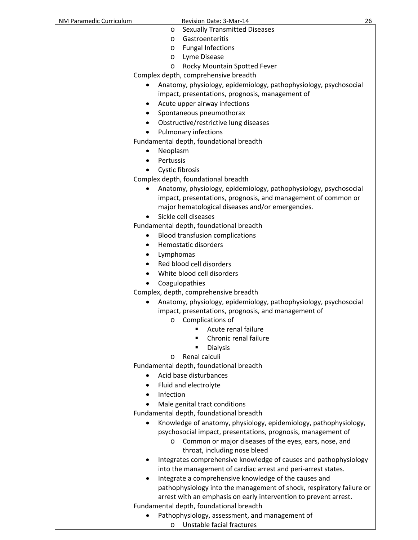| NM Paramedic Curriculum | Revision Date: 3-Mar-14                                                                                             | 26 |
|-------------------------|---------------------------------------------------------------------------------------------------------------------|----|
|                         | <b>Sexually Transmitted Diseases</b><br>O                                                                           |    |
|                         | Gastroenteritis<br>O                                                                                                |    |
|                         | <b>Fungal Infections</b><br>O                                                                                       |    |
|                         | Lyme Disease<br>O                                                                                                   |    |
|                         | Rocky Mountain Spotted Fever<br>O                                                                                   |    |
|                         | Complex depth, comprehensive breadth                                                                                |    |
|                         | Anatomy, physiology, epidemiology, pathophysiology, psychosocial<br>impact, presentations, prognosis, management of |    |
|                         | Acute upper airway infections<br>٠                                                                                  |    |
|                         | Spontaneous pneumothorax<br>$\bullet$                                                                               |    |
|                         | Obstructive/restrictive lung diseases<br>$\bullet$                                                                  |    |
|                         | <b>Pulmonary infections</b>                                                                                         |    |
|                         | Fundamental depth, foundational breadth                                                                             |    |
|                         | Neoplasm                                                                                                            |    |
|                         | Pertussis<br>٠                                                                                                      |    |
|                         |                                                                                                                     |    |
|                         | Cystic fibrosis                                                                                                     |    |
|                         | Complex depth, foundational breadth                                                                                 |    |
|                         | Anatomy, physiology, epidemiology, pathophysiology, psychosocial                                                    |    |
|                         | impact, presentations, prognosis, and management of common or                                                       |    |
|                         | major hematological diseases and/or emergencies.                                                                    |    |
|                         | Sickle cell diseases                                                                                                |    |
|                         | Fundamental depth, foundational breadth                                                                             |    |
|                         | <b>Blood transfusion complications</b><br>٠                                                                         |    |
|                         | Hemostatic disorders<br>٠                                                                                           |    |
|                         | Lymphomas<br>$\bullet$                                                                                              |    |
|                         | Red blood cell disorders<br>$\bullet$                                                                               |    |
|                         | White blood cell disorders                                                                                          |    |
|                         | Coagulopathies                                                                                                      |    |
|                         | Complex, depth, comprehensive breadth                                                                               |    |
|                         | Anatomy, physiology, epidemiology, pathophysiology, psychosocial<br>$\bullet$                                       |    |
|                         | impact, presentations, prognosis, and management of                                                                 |    |
|                         | o Complications of                                                                                                  |    |
|                         | Acute renal failure<br>٠                                                                                            |    |
|                         | Chronic renal failure                                                                                               |    |
|                         | <b>Dialysis</b>                                                                                                     |    |
|                         | Renal calculi<br>O                                                                                                  |    |
|                         | Fundamental depth, foundational breadth                                                                             |    |
|                         | Acid base disturbances                                                                                              |    |
|                         | Fluid and electrolyte                                                                                               |    |
|                         | Infection<br>$\bullet$                                                                                              |    |
|                         | Male genital tract conditions                                                                                       |    |
|                         | Fundamental depth, foundational breadth                                                                             |    |
|                         | Knowledge of anatomy, physiology, epidemiology, pathophysiology,<br>٠                                               |    |
|                         | psychosocial impact, presentations, prognosis, management of                                                        |    |
|                         | Common or major diseases of the eyes, ears, nose, and<br>O                                                          |    |
|                         | throat, including nose bleed                                                                                        |    |
|                         | Integrates comprehensive knowledge of causes and pathophysiology                                                    |    |
|                         | into the management of cardiac arrest and peri-arrest states.                                                       |    |
|                         | Integrate a comprehensive knowledge of the causes and<br>٠                                                          |    |
|                         | pathophysiology into the management of shock, respiratory failure or                                                |    |
|                         | arrest with an emphasis on early intervention to prevent arrest.                                                    |    |
|                         | Fundamental depth, foundational breadth                                                                             |    |
|                         | Pathophysiology, assessment, and management of                                                                      |    |
|                         | Unstable facial fractures<br>$\circ$                                                                                |    |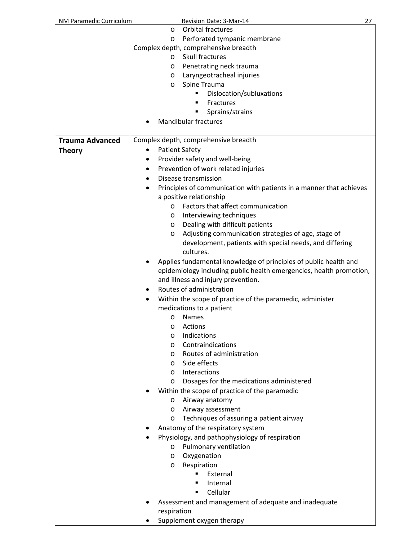| NM Paramedic Curriculum | Revision Date: 3-Mar-14                                                  | 27 |
|-------------------------|--------------------------------------------------------------------------|----|
|                         | <b>Orbital fractures</b><br>O                                            |    |
|                         | Perforated tympanic membrane<br>$\circ$                                  |    |
|                         | Complex depth, comprehensive breadth                                     |    |
|                         | Skull fractures<br>$\circ$                                               |    |
|                         | Penetrating neck trauma<br>$\circ$                                       |    |
|                         | Laryngeotracheal injuries<br>$\circ$                                     |    |
|                         | Spine Trauma<br>$\circ$                                                  |    |
|                         | Dislocation/subluxations                                                 |    |
|                         | Fractures                                                                |    |
|                         | Sprains/strains                                                          |    |
|                         | <b>Mandibular fractures</b>                                              |    |
|                         |                                                                          |    |
| <b>Trauma Advanced</b>  | Complex depth, comprehensive breadth                                     |    |
|                         |                                                                          |    |
| <b>Theory</b>           | <b>Patient Safety</b>                                                    |    |
|                         | Provider safety and well-being                                           |    |
|                         | Prevention of work related injuries<br>٠                                 |    |
|                         | Disease transmission<br>٠                                                |    |
|                         | Principles of communication with patients in a manner that achieves<br>٠ |    |
|                         | a positive relationship                                                  |    |
|                         | Factors that affect communication<br>$\circ$                             |    |
|                         | Interviewing techniques<br>$\circ$                                       |    |
|                         | Dealing with difficult patients<br>$\circ$                               |    |
|                         | Adjusting communication strategies of age, stage of<br>$\circ$           |    |
|                         | development, patients with special needs, and differing                  |    |
|                         | cultures.                                                                |    |
|                         | Applies fundamental knowledge of principles of public health and         |    |
|                         | epidemiology including public health emergencies, health promotion,      |    |
|                         | and illness and injury prevention.                                       |    |
|                         | Routes of administration                                                 |    |
|                         | ٠                                                                        |    |
|                         | Within the scope of practice of the paramedic, administer                |    |
|                         | medications to a patient                                                 |    |
|                         | Names<br>O                                                               |    |
|                         | Actions<br>O                                                             |    |
|                         | Indications<br>$\circ$                                                   |    |
|                         | Contraindications<br>$\circ$                                             |    |
|                         | Routes of administration<br>$\circ$                                      |    |
|                         | Side effects<br>$\circ$                                                  |    |
|                         | Interactions<br>$\circ$                                                  |    |
|                         | Dosages for the medications administered<br>$\circ$                      |    |
|                         | Within the scope of practice of the paramedic                            |    |
|                         | Airway anatomy<br>$\circ$                                                |    |
|                         | Airway assessment<br>$\circ$                                             |    |
|                         | Techniques of assuring a patient airway<br>$\circ$                       |    |
|                         | Anatomy of the respiratory system                                        |    |
|                         | Physiology, and pathophysiology of respiration                           |    |
|                         | Pulmonary ventilation<br>$\circ$                                         |    |
|                         | Oxygenation<br>$\circ$                                                   |    |
|                         | Respiration<br>$\circ$                                                   |    |
|                         | External                                                                 |    |
|                         | Internal<br>■                                                            |    |
|                         | Cellular<br>٠                                                            |    |
|                         |                                                                          |    |
|                         | Assessment and management of adequate and inadequate                     |    |
|                         | respiration                                                              |    |
|                         | Supplement oxygen therapy                                                |    |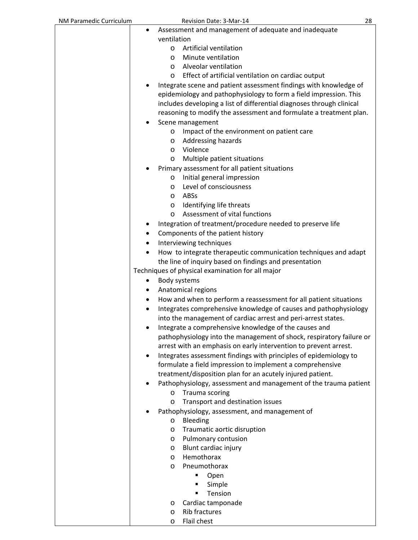| NM Paramedic Curriculum | Revision Date: 3-Mar-14                                               | 28 |
|-------------------------|-----------------------------------------------------------------------|----|
| ٠                       | Assessment and management of adequate and inadequate                  |    |
|                         | ventilation                                                           |    |
|                         | Artificial ventilation<br>$\circ$                                     |    |
|                         | Minute ventilation<br>$\circ$                                         |    |
|                         | Alveolar ventilation<br>$\circ$                                       |    |
|                         | Effect of artificial ventilation on cardiac output<br>$\circ$         |    |
|                         | Integrate scene and patient assessment findings with knowledge of     |    |
|                         | epidemiology and pathophysiology to form a field impression. This     |    |
|                         | includes developing a list of differential diagnoses through clinical |    |
|                         | reasoning to modify the assessment and formulate a treatment plan.    |    |
|                         | Scene management                                                      |    |
|                         | Impact of the environment on patient care<br>$\circ$                  |    |
|                         | Addressing hazards<br>$\circ$                                         |    |
|                         | Violence<br>$\circ$                                                   |    |
|                         | Multiple patient situations<br>$\circ$                                |    |
|                         | Primary assessment for all patient situations                         |    |
|                         | Initial general impression<br>$\circ$                                 |    |
|                         | Level of consciousness<br>$\circ$                                     |    |
|                         | ABSs<br>$\circ$                                                       |    |
|                         | Identifying life threats<br>$\circ$                                   |    |
|                         | Assessment of vital functions<br>$\circ$                              |    |
|                         | Integration of treatment/procedure needed to preserve life            |    |
| ٠                       | Components of the patient history                                     |    |
| $\bullet$               | Interviewing techniques                                               |    |
|                         | How to integrate therapeutic communication techniques and adapt       |    |
|                         | the line of inquiry based on findings and presentation                |    |
|                         | Techniques of physical examination for all major                      |    |
| ٠                       | Body systems                                                          |    |
| ٠                       | Anatomical regions                                                    |    |
| ٠                       | How and when to perform a reassessment for all patient situations     |    |
|                         | Integrates comprehensive knowledge of causes and pathophysiology      |    |
|                         | into the management of cardiac arrest and peri-arrest states.         |    |
|                         | Integrate a comprehensive knowledge of the causes and                 |    |
|                         | pathophysiology into the management of shock, respiratory failure or  |    |
|                         | arrest with an emphasis on early intervention to prevent arrest.      |    |
| $\bullet$               | Integrates assessment findings with principles of epidemiology to     |    |
|                         | formulate a field impression to implement a comprehensive             |    |
|                         | treatment/disposition plan for an acutely injured patient.            |    |
|                         | Pathophysiology, assessment and management of the trauma patient      |    |
|                         | Trauma scoring<br>O                                                   |    |
|                         | Transport and destination issues<br>$\circ$                           |    |
|                         | Pathophysiology, assessment, and management of                        |    |
|                         | Bleeding<br>$\circ$                                                   |    |
|                         | Traumatic aortic disruption<br>$\circ$                                |    |
|                         | Pulmonary contusion<br>$\circ$                                        |    |
|                         | Blunt cardiac injury<br>$\circ$                                       |    |
|                         | Hemothorax<br>$\circ$                                                 |    |
|                         | Pneumothorax<br>$\circ$                                               |    |
|                         | Open                                                                  |    |
|                         | Simple<br>٠                                                           |    |
|                         | Tension<br>٠                                                          |    |
|                         | Cardiac tamponade<br>$\circ$                                          |    |
|                         | <b>Rib fractures</b><br>$\circ$                                       |    |
|                         | Flail chest<br>$\circ$                                                |    |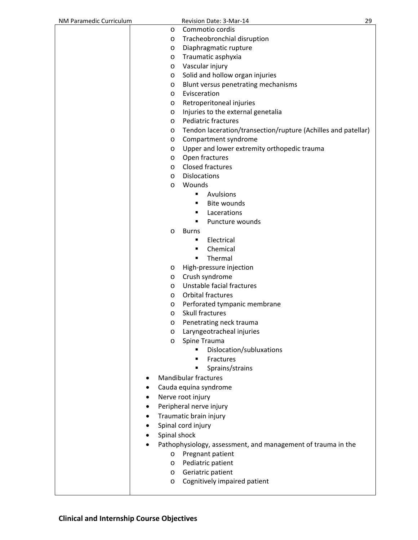| NM Paramedic Curriculum |              | Revision Date: 3-Mar-14                                       | 29 |
|-------------------------|--------------|---------------------------------------------------------------|----|
|                         | $\circ$      | Commotio cordis                                               |    |
|                         | $\circ$      | Tracheobronchial disruption                                   |    |
|                         | $\circ$      | Diaphragmatic rupture                                         |    |
|                         | $\circ$      | Traumatic asphyxia                                            |    |
|                         | $\circ$      | Vascular injury                                               |    |
|                         | $\circ$      | Solid and hollow organ injuries                               |    |
|                         | O            | Blunt versus penetrating mechanisms                           |    |
|                         | $\circ$      | Evisceration                                                  |    |
|                         | O            | Retroperitoneal injuries                                      |    |
|                         | O            | Injuries to the external genetalia                            |    |
|                         | $\circ$      | Pediatric fractures                                           |    |
|                         |              |                                                               |    |
|                         | $\circ$      | Tendon laceration/transection/rupture (Achilles and patellar) |    |
|                         | $\circ$      | Compartment syndrome                                          |    |
|                         | O            | Upper and lower extremity orthopedic trauma                   |    |
|                         | $\circ$      | Open fractures                                                |    |
|                         | $\circ$      | <b>Closed fractures</b>                                       |    |
|                         | $\circ$      | <b>Dislocations</b>                                           |    |
|                         | $\circ$      | Wounds                                                        |    |
|                         |              | Avulsions<br>٠                                                |    |
|                         |              | <b>Bite wounds</b><br>٠                                       |    |
|                         |              | Lacerations<br>٠                                              |    |
|                         |              | ٠<br>Puncture wounds                                          |    |
|                         | $\circ$      | <b>Burns</b>                                                  |    |
|                         |              | Electrical<br>٠                                               |    |
|                         |              | Chemical<br>٠                                                 |    |
|                         |              | Thermal<br>٠                                                  |    |
|                         | $\circ$      | High-pressure injection                                       |    |
|                         | $\circ$      | Crush syndrome                                                |    |
|                         | $\circ$      | Unstable facial fractures                                     |    |
|                         | $\circ$      | Orbital fractures                                             |    |
|                         | $\circ$      | Perforated tympanic membrane                                  |    |
|                         | $\circ$      | Skull fractures                                               |    |
|                         | $\circ$      | Penetrating neck trauma                                       |    |
|                         | O            | Laryngeotracheal injuries                                     |    |
|                         | O            | Spine Trauma                                                  |    |
|                         |              | Dislocation/subluxations                                      |    |
|                         |              | Fractures<br>٠                                                |    |
|                         |              | Sprains/strains                                               |    |
|                         |              | <b>Mandibular fractures</b>                                   |    |
|                         |              |                                                               |    |
|                         |              | Cauda equina syndrome                                         |    |
|                         |              | Nerve root injury                                             |    |
|                         |              | Peripheral nerve injury                                       |    |
|                         |              | Traumatic brain injury                                        |    |
|                         |              | Spinal cord injury                                            |    |
|                         | Spinal shock |                                                               |    |
|                         |              | Pathophysiology, assessment, and management of trauma in the  |    |
|                         | $\circ$      | Pregnant patient                                              |    |
|                         | $\circ$      | Pediatric patient                                             |    |
|                         | $\circ$      | Geriatric patient                                             |    |
|                         | $\circ$      | Cognitively impaired patient                                  |    |
|                         |              |                                                               |    |
|                         |              |                                                               |    |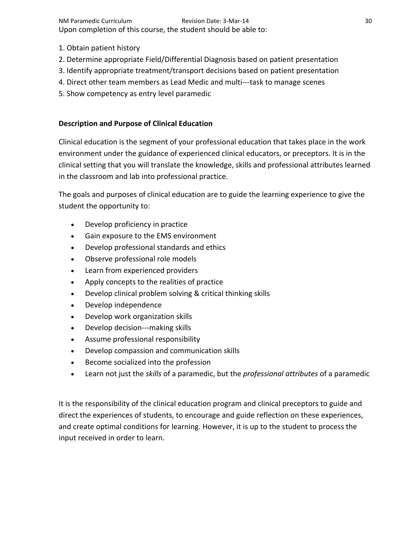NM Paramedic Curriculum Revision Date: 3‐Mar‐14 30 Upon completion of this course, the student should be able to:

- 1. Obtain patient history
- 2. Determine appropriate Field/Differential Diagnosis based on patient presentation
- 3. Identify appropriate treatment/transport decisions based on patient presentation
- 4. Direct other team members as Lead Medic and multi‐‐‐task to manage scenes
- 5. Show competency as entry level paramedic

## **Description and Purpose of Clinical Education**

Clinical education is the segment of your professional education that takes place in the work environment under the guidance of experienced clinical educators, or preceptors. It is in the clinical setting that you will translate the knowledge, skills and professional attributes learned in the classroom and lab into professional practice.

The goals and purposes of clinical education are to guide the learning experience to give the student the opportunity to:

- Develop proficiency in practice
- Gain exposure to the EMS environment
- Develop professional standards and ethics
- Observe professional role models
- Learn from experienced providers
- Apply concepts to the realities of practice
- Develop clinical problem solving & critical thinking skills
- Develop independence
- Develop work organization skills
- Develop decision---making skills
- Assume professional responsibility
- Develop compassion and communication skills
- **Become socialized into the profession**
- Learn not just the *skills* of a paramedic, but the *professional attributes* of a paramedic

It is the responsibility of the clinical education program and clinical preceptors to guide and direct the experiences of students, to encourage and guide reflection on these experiences, and create optimal conditions for learning. However, it is up to the student to process the input received in order to learn.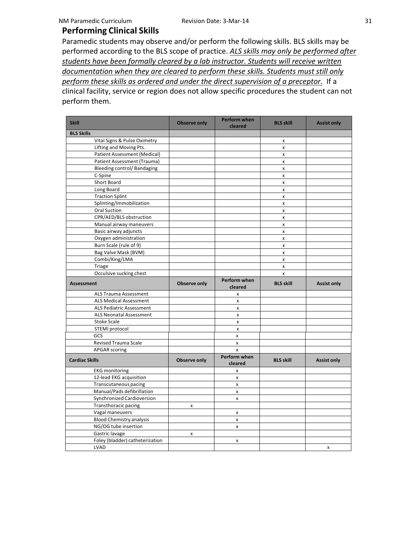## **Performing Clinical Skills**

Paramedic students may observe and/or perform the following skills. BLS skills may be performed according to the BLS scope of practice. *ALS skills may only be performed after students have been formally cleared by a lab instructor. Students will receive written documentation when they are cleared to perform these skills. Students must still only perform these skills as ordered and under the direct supervision of a preceptor.* If a clinical facility, service or region does not allow specific procedures the student can not perform them.

| <b>Skill</b>                    | <b>Observe only</b> | <b>Perform when</b><br>cleared | <b>BLS skill</b>   | <b>Assist only</b> |
|---------------------------------|---------------------|--------------------------------|--------------------|--------------------|
| <b>BLS Skills</b>               |                     |                                |                    |                    |
| Vital Signs & Pulse Oximetry    |                     |                                | x                  |                    |
| Lifting and Moving Pts.         |                     |                                | x                  |                    |
| Patient Assessment (Medical)    |                     |                                | X                  |                    |
| Patient Assessment (Trauma)     |                     |                                | x                  |                    |
| Bleeding control/ Bandaging     |                     |                                | x                  |                    |
| C-Spine                         |                     |                                | $\pmb{\mathsf{x}}$ |                    |
| Short Board                     |                     |                                | $\pmb{\times}$     |                    |
| Long Board                      |                     |                                | x                  |                    |
| <b>Traction Splint</b>          |                     |                                | $\pmb{\mathsf{x}}$ |                    |
| Splinting/Immobilization        |                     |                                | x                  |                    |
| <b>Oral Suction</b>             |                     |                                | $\mathsf{x}$       |                    |
| CPR/AED/BLS obstruction         |                     |                                | $\pmb{\mathsf{x}}$ |                    |
| Manual airway maneuvers         |                     |                                | x                  |                    |
| Basic airway adjuncts           |                     |                                | X                  |                    |
| Oxygen administration           |                     |                                | $\pmb{\times}$     |                    |
| Burn Scale (rule of 9)          |                     |                                | x                  |                    |
| Bag Valve Mask (BVM)            |                     |                                | x                  |                    |
| Combi/King/LMA                  |                     |                                | x                  |                    |
| Triage                          |                     |                                | x                  |                    |
| Occulsive sucking chest         |                     |                                | $\mathsf{x}$       |                    |
| Assessment                      | Observe only        | Perform when<br>cleared        | <b>BLS skill</b>   | <b>Assist only</b> |
| <b>ALS Trauma Assessment</b>    |                     | $\pmb{\times}$                 |                    |                    |
| <b>ALS Medical Assessment</b>   |                     | $\pmb{\times}$                 |                    |                    |
| <b>ALS Pediatric Assessment</b> |                     | $\mathsf{x}$                   |                    |                    |
| <b>ALS Neonatal Assessment</b>  |                     | $\pmb{\mathsf{x}}$             |                    |                    |
| <b>Stoke Scale</b>              |                     | $\pmb{\times}$                 |                    |                    |
| STEMI protocol                  |                     | $\pmb{\mathsf{x}}$             |                    |                    |
| GCS                             |                     | x                              |                    |                    |
| <b>Revised Trauma Scale</b>     |                     | X                              |                    |                    |
| <b>APGAR</b> scoring            |                     | X                              |                    |                    |
| <b>Cardiac Skills</b>           | <b>Observe only</b> | Perform when<br>cleared        | <b>BLS skill</b>   | <b>Assist only</b> |
| <b>EKG</b> monitoring           |                     | X                              |                    |                    |
| 12-lead EKG acquisition         |                     | X                              |                    |                    |
| Transcutaneous pacing           |                     | X                              |                    |                    |
| Manual/Pads defibrillation      |                     | X                              |                    |                    |
| Synchronized Cardioversion      |                     | X                              |                    |                    |
| Transthoracic pacing            | x                   |                                |                    |                    |
| Vagal maneuvers                 |                     | X                              |                    |                    |
| <b>Blood Chemistry analysis</b> |                     | X                              |                    |                    |
| NG/OG tube insertion            |                     | X                              |                    |                    |
| Gastric lavage                  | x                   |                                |                    |                    |
| Foley (bladder) catheterization |                     | x                              |                    |                    |
| LVAD                            |                     |                                |                    | x                  |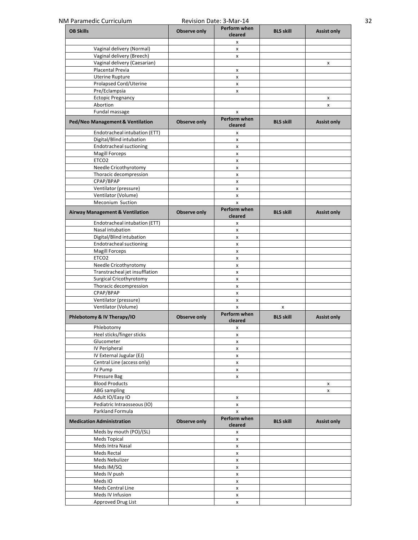| <b>OB Skills</b>                           |              | Perform when            | <b>BLS skill</b> |                    |
|--------------------------------------------|--------------|-------------------------|------------------|--------------------|
|                                            | Observe only | cleared                 |                  | <b>Assist only</b> |
|                                            |              | x                       |                  |                    |
| Vaginal delivery (Normal)                  |              | X                       |                  |                    |
| Vaginal delivery (Breech)                  |              | X                       |                  |                    |
| Vaginal delivery (Caesarian)               |              |                         |                  | x                  |
| Placental Previa                           |              | X                       |                  |                    |
| <b>Uterine Rupture</b>                     |              | X                       |                  |                    |
| Prolapsed Cord/Uterine                     |              | X                       |                  |                    |
| Pre/Eclampsia                              |              | $\pmb{\mathsf{x}}$      |                  |                    |
| <b>Ectopic Pregnancy</b>                   |              |                         |                  | x                  |
| Abortion                                   |              |                         |                  | X                  |
| Fundal massage                             |              | X                       |                  |                    |
| Ped/Neo Management & Ventilation           | Observe only | Perform when<br>cleared | <b>BLS skill</b> | <b>Assist only</b> |
| Endotracheal intubation (ETT)              |              | x                       |                  |                    |
| Digital/Blind intubation                   |              | X                       |                  |                    |
| Endotracheal suctioning                    |              | x                       |                  |                    |
| <b>Magill Forceps</b>                      |              | x                       |                  |                    |
| ETCO <sub>2</sub>                          |              | x                       |                  |                    |
| Needle Cricothyrotomy                      |              | X                       |                  |                    |
| Thoracic decompression                     |              | X                       |                  |                    |
| CPAP/BPAP                                  |              | X                       |                  |                    |
| Ventilator (pressure)                      |              | X                       |                  |                    |
| Ventilator (Volume)                        |              | x                       |                  |                    |
| Meconium Suction                           |              | X                       |                  |                    |
| <b>Airway Management &amp; Ventilation</b> | Observe only | Perform when<br>cleared | <b>BLS skill</b> | <b>Assist only</b> |
| Endotracheal intubation (ETT)              |              | x                       |                  |                    |
| Nasal intubation                           |              | X                       |                  |                    |
| Digital/Blind intubation                   |              | x                       |                  |                    |
| Endotracheal suctioning                    |              | X                       |                  |                    |
| <b>Magill Forceps</b>                      |              | x                       |                  |                    |
| ETCO <sub>2</sub>                          |              | $\pmb{\mathsf{x}}$      |                  |                    |
| Needle Cricothyrotomy                      |              | x                       |                  |                    |
| Transtracheal jet insufflation             |              | x                       |                  |                    |
| <b>Surgical Cricothyrotomy</b>             |              | X                       |                  |                    |
| Thoracic decompression                     |              | x                       |                  |                    |
| CPAP/BPAP                                  |              | X                       |                  |                    |
| Ventilator (pressure)                      |              | X                       |                  |                    |
| Ventilator (Volume)                        |              | x                       | x                |                    |
| Phlebotomy & IV Therapy/IO                 | Observe only | Perform when<br>cleared | <b>BLS skill</b> | <b>Assist only</b> |
| Phlebotomy                                 |              | x                       |                  |                    |
| Heel sticks/finger sticks                  |              | X                       |                  |                    |
| Glucometer                                 |              | X                       |                  |                    |
| IV Peripheral                              |              | X                       |                  |                    |
| IV External Jugular (EJ)                   |              | x                       |                  |                    |
| Central Line (access only)                 |              | X                       |                  |                    |
| IV Pump                                    |              | X                       |                  |                    |
| Pressure Bag                               |              | X                       |                  |                    |
| <b>Blood Products</b>                      |              |                         |                  | X                  |
| <b>ABG</b> sampling                        |              |                         |                  | x                  |
| Adult IO/Easy IO                           |              | X                       |                  |                    |
| Pediatric Intraosseous (IO)                |              | X                       |                  |                    |
| Parkland Formula                           |              | X                       |                  |                    |
| <b>Medication Administration</b>           | Observe only | Perform when<br>cleared | <b>BLS skill</b> | <b>Assist only</b> |
| Meds by mouth (PO)/(SL)                    |              | X                       |                  |                    |
| Meds Topical                               |              | X                       |                  |                    |
| Meds Intra Nasal                           |              | X                       |                  |                    |
| Meds Rectal                                |              | x                       |                  |                    |
| Meds Nebulizer                             |              | X                       |                  |                    |
| Meds IM/SQ                                 |              | X                       |                  |                    |
| Meds IV push                               |              | X                       |                  |                    |
| Meds IO                                    |              | X                       |                  |                    |
| Meds Central Line                          |              | X                       |                  |                    |
| Meds IV Infusion                           |              | x                       |                  |                    |
|                                            |              |                         |                  |                    |
| Approved Drug List                         |              | X                       |                  |                    |